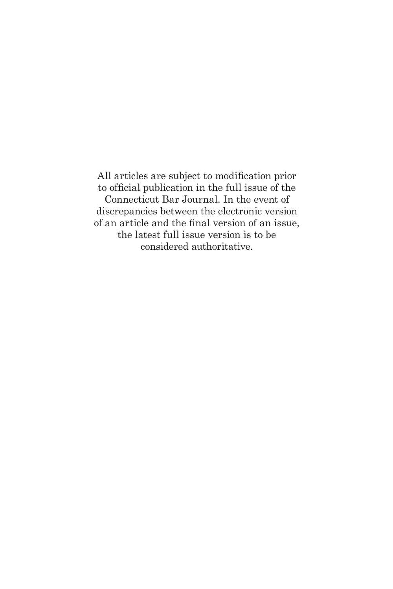All articles are subject to modification prior to official publication in the full issue of the Connecticut Bar Journal. In the event of discrepancies between the electronic version of an article and the final version of an issue, the latest full issue version is to be considered authoritative.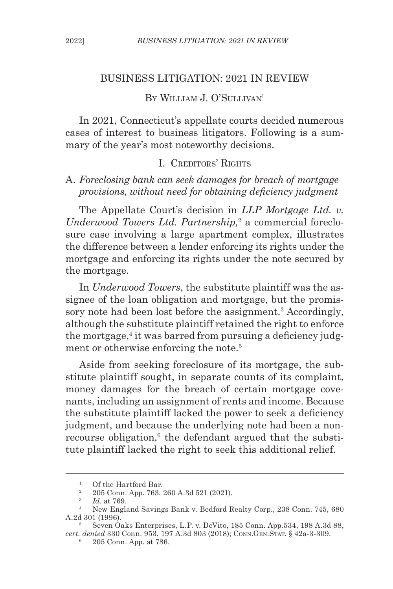#### BUSINESS LITIGATION: 2021 IN REVIEW

# BY WILLIAM J. O'SULLIVAN<sup>1</sup>

In 2021, Connecticut's appellate courts decided numerous cases of interest to business litigators. Following is a summary of the year's most noteworthy decisions.

### I. CREDITORS' RIGHTS

#### A. *Foreclosing bank can seek damages for breach of mortgage provisions, without need for obtaining deficiency judgment*

The Appellate Court's decision in *LLP Mortgage Ltd. v.*  Underwood Towers Ltd. Partnership,<sup>2</sup> a commercial foreclosure case involving a large apartment complex, illustrates the difference between a lender enforcing its rights under the mortgage and enforcing its rights under the note secured by the mortgage.

In *Underwood Towers*, the substitute plaintiff was the assignee of the loan obligation and mortgage, but the promissory note had been lost before the assignment.<sup>3</sup> Accordingly, although the substitute plaintiff retained the right to enforce the mortgage,<sup>4</sup> it was barred from pursuing a deficiency judgment or otherwise enforcing the note.<sup>5</sup>

Aside from seeking foreclosure of its mortgage, the substitute plaintiff sought, in separate counts of its complaint, money damages for the breach of certain mortgage covenants, including an assignment of rents and income. Because the substitute plaintiff lacked the power to seek a deficiency judgment, and because the underlying note had been a nonrecourse obligation,<sup>6</sup> the defendant argued that the substitute plaintiff lacked the right to seek this additional relief.

<sup>&</sup>lt;sup>1</sup> Of the Hartford Bar.<br><sup>2</sup> 205 Conn App. 763.

<sup>2</sup> 205 Conn. App. 763, 260 A.3d 521 (2021).

<sup>3</sup> *Id*. at 769.

<sup>4</sup> New England Savings Bank v. Bedford Realty Corp., 238 Conn. 745, 680 A.2d 301 (1996).

<sup>5</sup> Seven Oaks Enterprises, L.P. v. DeVito, 185 Conn. App.534, 198 A.3d 88, *cert. denied* 330 Conn. 953, 197 A.3d 803 (2018); Conn.Gen.Stat. § 42a-3-309.

<sup>6</sup> 205 Conn. App. at 786.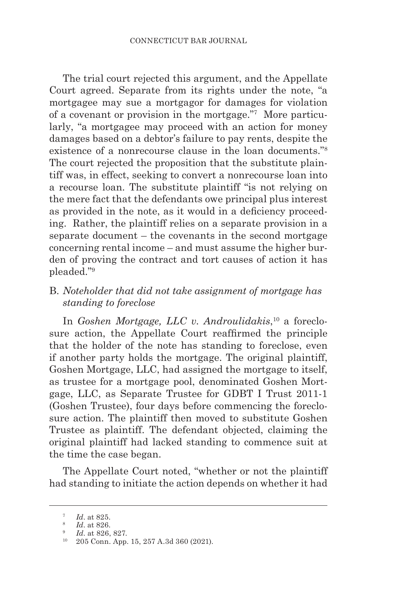The trial court rejected this argument, and the Appellate Court agreed. Separate from its rights under the note, "a mortgagee may sue a mortgagor for damages for violation of a covenant or provision in the mortgage."7 More particularly, "a mortgagee may proceed with an action for money damages based on a debtor's failure to pay rents, despite the existence of a nonrecourse clause in the loan documents."8 The court rejected the proposition that the substitute plaintiff was, in effect, seeking to convert a nonrecourse loan into a recourse loan. The substitute plaintiff "is not relying on the mere fact that the defendants owe principal plus interest as provided in the note, as it would in a deficiency proceeding. Rather, the plaintiff relies on a separate provision in a separate document – the covenants in the second mortgage concerning rental income – and must assume the higher burden of proving the contract and tort causes of action it has pleaded."9

### B. *Noteholder that did not take assignment of mortgage has standing to foreclose*

In *Goshen Mortgage, LLC v. Androulidakis*, 10 a foreclosure action, the Appellate Court reaffirmed the principle that the holder of the note has standing to foreclose, even if another party holds the mortgage. The original plaintiff, Goshen Mortgage, LLC, had assigned the mortgage to itself, as trustee for a mortgage pool, denominated Goshen Mortgage, LLC, as Separate Trustee for GDBT I Trust 2011-1 (Goshen Trustee), four days before commencing the foreclosure action. The plaintiff then moved to substitute Goshen Trustee as plaintiff. The defendant objected, claiming the original plaintiff had lacked standing to commence suit at the time the case began.

The Appellate Court noted, "whether or not the plaintiff had standing to initiate the action depends on whether it had

<sup>7</sup> *Id*. at 825.

<sup>8</sup> *Id*. at 826.

<sup>9</sup> *Id*. at 826, 827.

<sup>10</sup> 205 Conn. App. 15, 257 A.3d 360 (2021).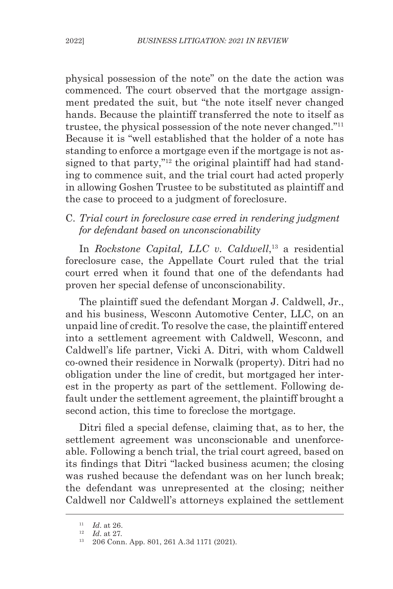physical possession of the note" on the date the action was commenced. The court observed that the mortgage assignment predated the suit, but "the note itself never changed hands. Because the plaintiff transferred the note to itself as trustee, the physical possession of the note never changed."11 Because it is "well established that the holder of a note has standing to enforce a mortgage even if the mortgage is not assigned to that party,"<sup>12</sup> the original plaintiff had had standing to commence suit, and the trial court had acted properly in allowing Goshen Trustee to be substituted as plaintiff and the case to proceed to a judgment of foreclosure.

# C. *Trial court in foreclosure case erred in rendering judgment for defendant based on unconscionability*

In *Rockstone Capital, LLC v. Caldwell*, 13 a residential foreclosure case, the Appellate Court ruled that the trial court erred when it found that one of the defendants had proven her special defense of unconscionability.

The plaintiff sued the defendant Morgan J. Caldwell, Jr., and his business, Wesconn Automotive Center, LLC, on an unpaid line of credit. To resolve the case, the plaintiff entered into a settlement agreement with Caldwell, Wesconn, and Caldwell's life partner, Vicki A. Ditri, with whom Caldwell co-owned their residence in Norwalk (property). Ditri had no obligation under the line of credit, but mortgaged her interest in the property as part of the settlement. Following default under the settlement agreement, the plaintiff brought a second action, this time to foreclose the mortgage.

Ditri filed a special defense, claiming that, as to her, the settlement agreement was unconscionable and unenforceable. Following a bench trial, the trial court agreed, based on its findings that Ditri "lacked business acumen; the closing was rushed because the defendant was on her lunch break; the defendant was unrepresented at the closing; neither Caldwell nor Caldwell's attorneys explained the settlement

<sup>11</sup> *Id*. at 26.

<sup>12</sup> *Id*. at 27.

<sup>13</sup> 206 Conn. App. 801, 261 A.3d 1171 (2021).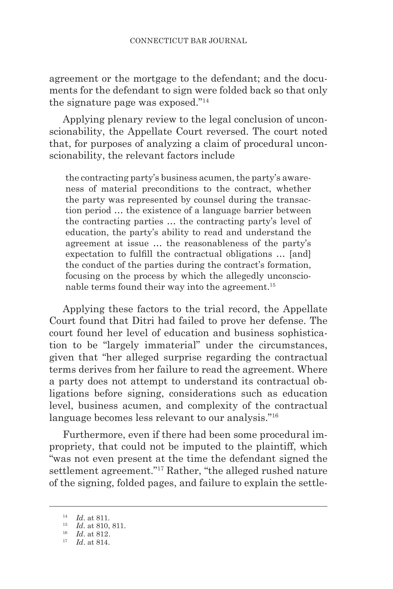agreement or the mortgage to the defendant; and the documents for the defendant to sign were folded back so that only the signature page was exposed."14

Applying plenary review to the legal conclusion of unconscionability, the Appellate Court reversed. The court noted that, for purposes of analyzing a claim of procedural unconscionability, the relevant factors include

the contracting party's business acumen, the party's awareness of material preconditions to the contract, whether the party was represented by counsel during the transaction period … the existence of a language barrier between the contracting parties … the contracting party's level of education, the party's ability to read and understand the agreement at issue … the reasonableness of the party's expectation to fulfill the contractual obligations … [and] the conduct of the parties during the contract's formation, focusing on the process by which the allegedly unconscionable terms found their way into the agreement.<sup>15</sup>

Applying these factors to the trial record, the Appellate Court found that Ditri had failed to prove her defense. The court found her level of education and business sophistication to be "largely immaterial" under the circumstances, given that "her alleged surprise regarding the contractual terms derives from her failure to read the agreement. Where a party does not attempt to understand its contractual obligations before signing, considerations such as education level, business acumen, and complexity of the contractual language becomes less relevant to our analysis."16

Furthermore, even if there had been some procedural impropriety, that could not be imputed to the plaintiff, which "was not even present at the time the defendant signed the settlement agreement."17 Rather, "the alleged rushed nature of the signing, folded pages, and failure to explain the settle-

<sup>14</sup> *Id*. at 811.

<sup>15</sup> *Id*. at 810, 811.

<sup>16</sup> *Id*. at 812.

<sup>17</sup> *Id*. at 814.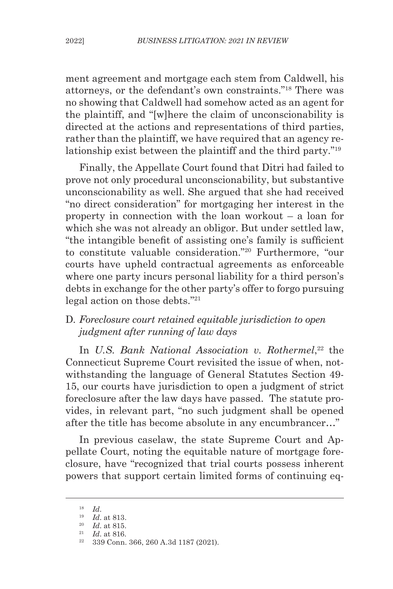ment agreement and mortgage each stem from Caldwell, his attorneys, or the defendant's own constraints."18 There was no showing that Caldwell had somehow acted as an agent for the plaintiff, and "[w]here the claim of unconscionability is directed at the actions and representations of third parties, rather than the plaintiff, we have required that an agency relationship exist between the plaintiff and the third party."19

Finally, the Appellate Court found that Ditri had failed to prove not only procedural unconscionability, but substantive unconscionability as well. She argued that she had received "no direct consideration" for mortgaging her interest in the property in connection with the loan workout – a loan for which she was not already an obligor. But under settled law, "the intangible benefit of assisting one's family is sufficient to constitute valuable consideration."20 Furthermore, "our courts have upheld contractual agreements as enforceable where one party incurs personal liability for a third person's debts in exchange for the other party's offer to forgo pursuing legal action on those debts."21

# D. *Foreclosure court retained equitable jurisdiction to open judgment after running of law days*

In *U.S. Bank National Association v. Rothermel*, 22 the Connecticut Supreme Court revisited the issue of when, notwithstanding the language of General Statutes Section 49- 15, our courts have jurisdiction to open a judgment of strict foreclosure after the law days have passed. The statute provides, in relevant part, "no such judgment shall be opened after the title has become absolute in any encumbrancer…"

In previous caselaw, the state Supreme Court and Appellate Court, noting the equitable nature of mortgage foreclosure, have "recognized that trial courts possess inherent powers that support certain limited forms of continuing eq-

<sup>18</sup> *Id*.

<sup>19</sup> *Id*. at 813.

<sup>20</sup> *Id*. at 815.

<sup>21</sup> *Id*. at 816.

<sup>22</sup> 339 Conn. 366, 260 A.3d 1187 (2021).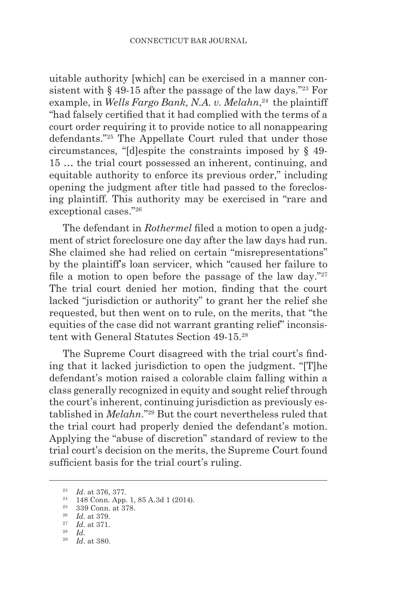uitable authority [which] can be exercised in a manner consistent with  $\S$  49-15 after the passage of the law days."<sup>23</sup> For example, in *Wells Fargo Bank, N.A. v. Melahn*, 24 the plaintiff "had falsely certified that it had complied with the terms of a court order requiring it to provide notice to all nonappearing defendants."25 The Appellate Court ruled that under those circumstances, "[d]espite the constraints imposed by § 49- 15 … the trial court possessed an inherent, continuing, and equitable authority to enforce its previous order," including opening the judgment after title had passed to the foreclosing plaintiff. This authority may be exercised in "rare and exceptional cases."26

The defendant in *Rothermel* filed a motion to open a judgment of strict foreclosure one day after the law days had run. She claimed she had relied on certain "misrepresentations" by the plaintiff's loan servicer, which "caused her failure to file a motion to open before the passage of the law day." $27$ The trial court denied her motion, finding that the court lacked "jurisdiction or authority" to grant her the relief she requested, but then went on to rule, on the merits, that "the equities of the case did not warrant granting relief" inconsistent with General Statutes Section 49-15.28

The Supreme Court disagreed with the trial court's finding that it lacked jurisdiction to open the judgment. "[T]he defendant's motion raised a colorable claim falling within a class generally recognized in equity and sought relief through the court's inherent, continuing jurisdiction as previously established in *Melahn*."29 But the court nevertheless ruled that the trial court had properly denied the defendant's motion. Applying the "abuse of discretion" standard of review to the trial court's decision on the merits, the Supreme Court found sufficient basis for the trial court's ruling.

<sup>23</sup> *Id*. at 376, 377.

<sup>24</sup> 148 Conn. App. 1, 85 A.3d 1 (2014).

<sup>25</sup> 339 Conn. at 378.

<sup>26</sup> *Id*. at 379.

<sup>27</sup> *Id*. at 371.

<sup>28</sup> *Id*.

<sup>29</sup> *Id*. at 380.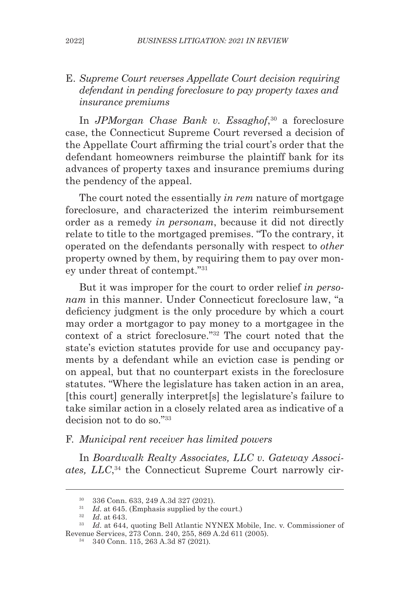### E. *Supreme Court reverses Appellate Court decision requiring defendant in pending foreclosure to pay property taxes and insurance premiums*

In *JPMorgan Chase Bank v. Essaghof*, 30 a foreclosure case, the Connecticut Supreme Court reversed a decision of the Appellate Court affirming the trial court's order that the defendant homeowners reimburse the plaintiff bank for its advances of property taxes and insurance premiums during the pendency of the appeal.

The court noted the essentially *in rem* nature of mortgage foreclosure, and characterized the interim reimbursement order as a remedy *in personam*, because it did not directly relate to title to the mortgaged premises. "To the contrary, it operated on the defendants personally with respect to *other*  property owned by them, by requiring them to pay over money under threat of contempt."31

But it was improper for the court to order relief *in personam* in this manner. Under Connecticut foreclosure law, "a deficiency judgment is the only procedure by which a court may order a mortgagor to pay money to a mortgagee in the context of a strict foreclosure."32 The court noted that the state's eviction statutes provide for use and occupancy payments by a defendant while an eviction case is pending or on appeal, but that no counterpart exists in the foreclosure statutes. "Where the legislature has taken action in an area, [this court] generally interpret[s] the legislature's failure to take similar action in a closely related area as indicative of a decision not to do so."<sup>33</sup>

### F. *Municipal rent receiver has limited powers*

In *Boardwalk Realty Associates, LLC v. Gateway Associates, LLC*, 34 the Connecticut Supreme Court narrowly cir-

<sup>30</sup> 336 Conn. 633, 249 A.3d 327 (2021).

<sup>&</sup>lt;sup>31</sup> *Id.* at 645. (Emphasis supplied by the court.)

<sup>32</sup> *Id*. at 643.

<sup>&</sup>lt;sup>33</sup> *Id.* at 644, quoting Bell Atlantic NYNEX Mobile, Inc. v. Commissioner of Revenue Services, 273 Conn. 240, 255, 869 A.2d 611 (2005).

<sup>34</sup> 340 Conn. 115, 263 A.3d 87 (2021).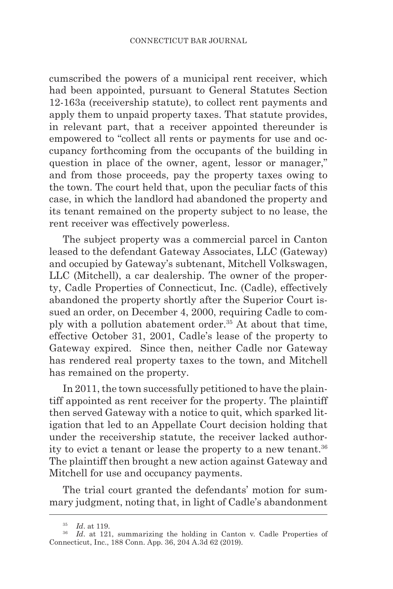cumscribed the powers of a municipal rent receiver, which had been appointed, pursuant to General Statutes Section 12-163a (receivership statute), to collect rent payments and apply them to unpaid property taxes. That statute provides, in relevant part, that a receiver appointed thereunder is empowered to "collect all rents or payments for use and occupancy forthcoming from the occupants of the building in question in place of the owner, agent, lessor or manager," and from those proceeds, pay the property taxes owing to the town. The court held that, upon the peculiar facts of this case, in which the landlord had abandoned the property and its tenant remained on the property subject to no lease, the rent receiver was effectively powerless.

The subject property was a commercial parcel in Canton leased to the defendant Gateway Associates, LLC (Gateway) and occupied by Gateway's subtenant, Mitchell Volkswagen, LLC (Mitchell), a car dealership. The owner of the property, Cadle Properties of Connecticut, Inc. (Cadle), effectively abandoned the property shortly after the Superior Court issued an order, on December 4, 2000, requiring Cadle to comply with a pollution abatement order.35 At about that time, effective October 31, 2001, Cadle's lease of the property to Gateway expired. Since then, neither Cadle nor Gateway has rendered real property taxes to the town, and Mitchell has remained on the property.

In 2011, the town successfully petitioned to have the plaintiff appointed as rent receiver for the property. The plaintiff then served Gateway with a notice to quit, which sparked litigation that led to an Appellate Court decision holding that under the receivership statute, the receiver lacked authority to evict a tenant or lease the property to a new tenant.36 The plaintiff then brought a new action against Gateway and Mitchell for use and occupancy payments.

The trial court granted the defendants' motion for summary judgment, noting that, in light of Cadle's abandonment

<sup>35</sup> *Id*. at 119.

<sup>&</sup>lt;sup>36</sup> *Id.* at 121, summarizing the holding in Canton v. Cadle Properties of Connecticut, Inc., 188 Conn. App. 36, 204 A.3d 62 (2019).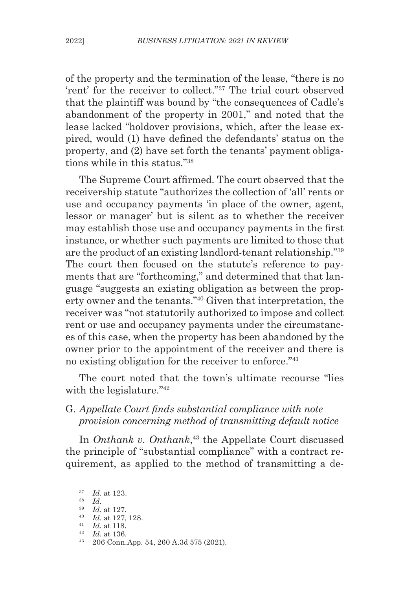of the property and the termination of the lease, "there is no 'rent' for the receiver to collect."37 The trial court observed that the plaintiff was bound by "the consequences of Cadle's abandonment of the property in 2001," and noted that the lease lacked "holdover provisions, which, after the lease expired, would (1) have defined the defendants' status on the property, and (2) have set forth the tenants' payment obligations while in this status."38

The Supreme Court affirmed. The court observed that the receivership statute "authorizes the collection of 'all' rents or use and occupancy payments 'in place of the owner, agent, lessor or manager' but is silent as to whether the receiver may establish those use and occupancy payments in the first instance, or whether such payments are limited to those that are the product of an existing landlord-tenant relationship."39 The court then focused on the statute's reference to payments that are "forthcoming," and determined that that language "suggests an existing obligation as between the property owner and the tenants."40 Given that interpretation, the receiver was "not statutorily authorized to impose and collect rent or use and occupancy payments under the circumstances of this case, when the property has been abandoned by the owner prior to the appointment of the receiver and there is no existing obligation for the receiver to enforce."41

The court noted that the town's ultimate recourse "lies with the legislature."<sup>42</sup>

### G. *Appellate Court finds substantial compliance with note provision concerning method of transmitting default notice*

In *Onthank v. Onthank*, 43 the Appellate Court discussed the principle of "substantial compliance" with a contract requirement, as applied to the method of transmitting a de-

 $rac{37}{38}$  *Id.* at 123.

<sup>38</sup> *Id*. 39 *Id*. at 127.

<sup>40</sup> *Id*. at 127, 128. <sup>41</sup> *Id*. at 118.

<sup>42</sup> *Id*. at 136.

<sup>43</sup> 206 Conn.App. 54, 260 A.3d 575 (2021).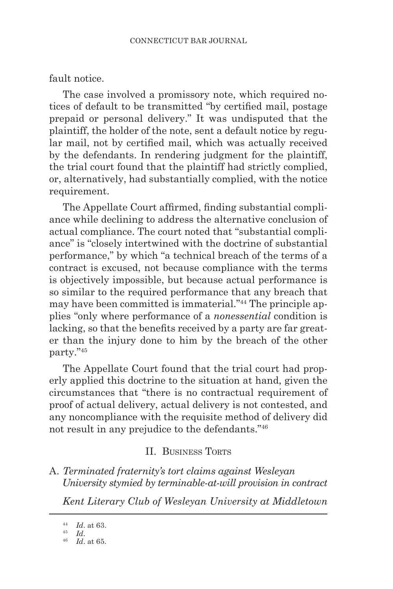#### fault notice.

The case involved a promissory note, which required notices of default to be transmitted "by certified mail, postage prepaid or personal delivery." It was undisputed that the plaintiff, the holder of the note, sent a default notice by regular mail, not by certified mail, which was actually received by the defendants. In rendering judgment for the plaintiff, the trial court found that the plaintiff had strictly complied, or, alternatively, had substantially complied, with the notice requirement.

The Appellate Court affirmed, finding substantial compliance while declining to address the alternative conclusion of actual compliance. The court noted that "substantial compliance" is "closely intertwined with the doctrine of substantial performance," by which "a technical breach of the terms of a contract is excused, not because compliance with the terms is objectively impossible, but because actual performance is so similar to the required performance that any breach that may have been committed is immaterial."44 The principle applies "only where performance of a *nonessential* condition is lacking, so that the benefits received by a party are far greater than the injury done to him by the breach of the other party."45

The Appellate Court found that the trial court had properly applied this doctrine to the situation at hand, given the circumstances that "there is no contractual requirement of proof of actual delivery, actual delivery is not contested, and any noncompliance with the requisite method of delivery did not result in any prejudice to the defendants."<sup>46</sup>

#### II. BUSINESS TORTS

A. *Terminated fraternity's tort claims against Wesleyan University stymied by terminable-at-will provision in contract*

*Kent Literary Club of Wesleyan University at Middletown*

<sup>44</sup> *Id*. at 63.

<sup>45</sup> *Id*. 46 *Id*. at 65.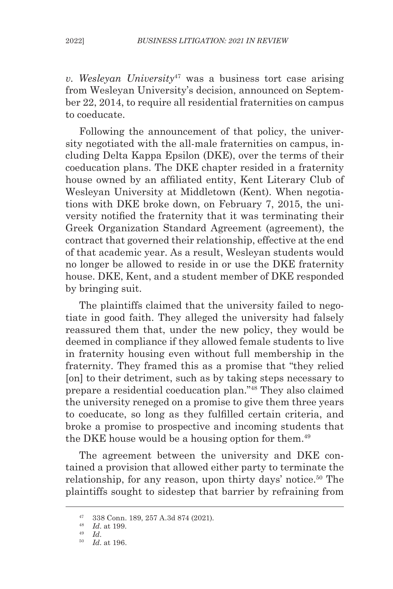*v. Wesleyan University*47 was a business tort case arising from Wesleyan University's decision, announced on September 22, 2014, to require all residential fraternities on campus to coeducate.

Following the announcement of that policy, the university negotiated with the all-male fraternities on campus, including Delta Kappa Epsilon (DKE), over the terms of their coeducation plans. The DKE chapter resided in a fraternity house owned by an affiliated entity, Kent Literary Club of Wesleyan University at Middletown (Kent). When negotiations with DKE broke down, on February 7, 2015, the university notified the fraternity that it was terminating their Greek Organization Standard Agreement (agreement), the contract that governed their relationship, effective at the end of that academic year. As a result, Wesleyan students would no longer be allowed to reside in or use the DKE fraternity house. DKE, Kent, and a student member of DKE responded by bringing suit.

The plaintiffs claimed that the university failed to negotiate in good faith. They alleged the university had falsely reassured them that, under the new policy, they would be deemed in compliance if they allowed female students to live in fraternity housing even without full membership in the fraternity. They framed this as a promise that "they relied [on] to their detriment, such as by taking steps necessary to prepare a residential coeducation plan."48 They also claimed the university reneged on a promise to give them three years to coeducate, so long as they fulfilled certain criteria, and broke a promise to prospective and incoming students that the DKE house would be a housing option for them.<sup>49</sup>

The agreement between the university and DKE contained a provision that allowed either party to terminate the relationship, for any reason, upon thirty days' notice.<sup>50</sup> The plaintiffs sought to sidestep that barrier by refraining from

<sup>47</sup> 338 Conn. 189, 257 A.3d 874 (2021).

<sup>48</sup> *Id*. at 199.

<sup>49</sup> *Id*.

<sup>50</sup> *Id*. at 196.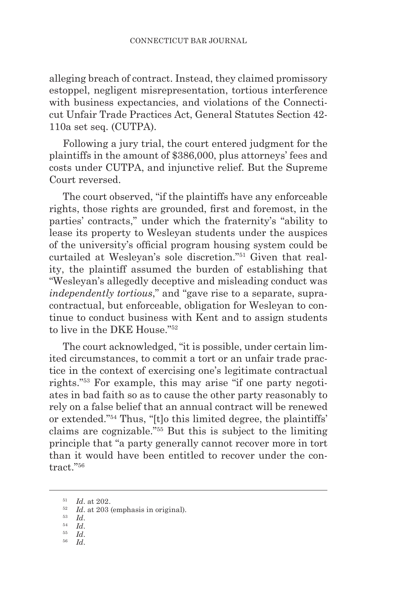alleging breach of contract. Instead, they claimed promissory estoppel, negligent misrepresentation, tortious interference with business expectancies, and violations of the Connecticut Unfair Trade Practices Act, General Statutes Section 42- 110a set seq. (CUTPA).

Following a jury trial, the court entered judgment for the plaintiffs in the amount of \$386,000, plus attorneys' fees and costs under CUTPA, and injunctive relief. But the Supreme Court reversed.

The court observed, "if the plaintiffs have any enforceable rights, those rights are grounded, first and foremost, in the parties' contracts," under which the fraternity's "ability to lease its property to Wesleyan students under the auspices of the university's official program housing system could be curtailed at Wesleyan's sole discretion."51 Given that reality, the plaintiff assumed the burden of establishing that "Wesleyan's allegedly deceptive and misleading conduct was *independently tortious*," and "gave rise to a separate, supracontractual, but enforceable, obligation for Wesleyan to continue to conduct business with Kent and to assign students to live in the DKE House<sup>"52</sup>

The court acknowledged, "it is possible, under certain limited circumstances, to commit a tort or an unfair trade practice in the context of exercising one's legitimate contractual rights."53 For example, this may arise "if one party negotiates in bad faith so as to cause the other party reasonably to rely on a false belief that an annual contract will be renewed or extended."54 Thus, "[t]o this limited degree, the plaintiffs' claims are cognizable."55 But this is subject to the limiting principle that "a party generally cannot recover more in tort than it would have been entitled to recover under the contract."56

- <sup>53</sup> *Id*.
- $\begin{array}{cc} 54 & Id. \\ 55 & Id. \end{array}$
- 
- <sup>56</sup> *Id*.

<sup>51</sup> *Id*. at 202.

<sup>52</sup> *Id*. at 203 (emphasis in original).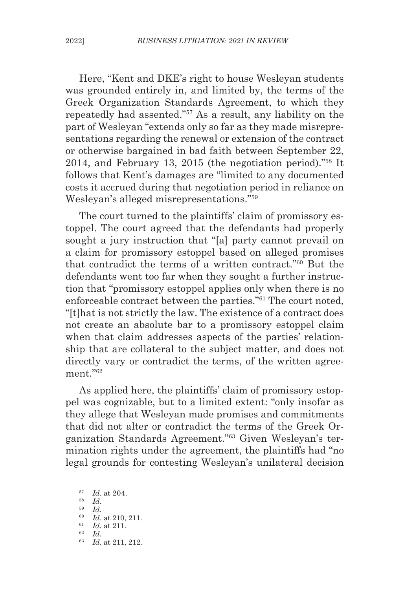Here, "Kent and DKE's right to house Wesleyan students was grounded entirely in, and limited by, the terms of the Greek Organization Standards Agreement, to which they repeatedly had assented."57 As a result, any liability on the part of Wesleyan "extends only so far as they made misrepresentations regarding the renewal or extension of the contract or otherwise bargained in bad faith between September 22, 2014, and February 13, 2015 (the negotiation period)."58 It follows that Kent's damages are "limited to any documented costs it accrued during that negotiation period in reliance on Wesleyan's alleged misrepresentations."59

The court turned to the plaintiffs' claim of promissory estoppel. The court agreed that the defendants had properly sought a jury instruction that "[a] party cannot prevail on a claim for promissory estoppel based on alleged promises that contradict the terms of a written contract."60 But the defendants went too far when they sought a further instruction that "promissory estoppel applies only when there is no enforceable contract between the parties."61 The court noted, "[t]hat is not strictly the law. The existence of a contract does not create an absolute bar to a promissory estoppel claim when that claim addresses aspects of the parties' relationship that are collateral to the subject matter, and does not directly vary or contradict the terms, of the written agreement."<sup>62</sup>

As applied here, the plaintiffs' claim of promissory estoppel was cognizable, but to a limited extent: "only insofar as they allege that Wesleyan made promises and commitments that did not alter or contradict the terms of the Greek Organization Standards Agreement."63 Given Wesleyan's termination rights under the agreement, the plaintiffs had "no legal grounds for contesting Wesleyan's unilateral decision

 $\begin{array}{cc} 57 & Id. \text{ at } 204. \\ 58 & Id. \end{array}$ <sup>58</sup> *Id*. 59 *Id*. <sup>60</sup> *Id*. at 210, 211. <sup>61</sup> *Id*. at 211. <sup>62</sup> *Id*.

<sup>63</sup> *Id*. at 211, 212.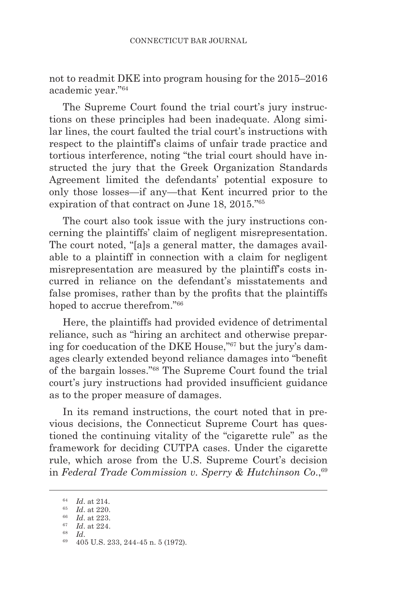not to readmit DKE into program housing for the 2015–2016 academic year."64

The Supreme Court found the trial court's jury instructions on these principles had been inadequate. Along similar lines, the court faulted the trial court's instructions with respect to the plaintiff's claims of unfair trade practice and tortious interference, noting "the trial court should have instructed the jury that the Greek Organization Standards Agreement limited the defendants' potential exposure to only those losses—if any—that Kent incurred prior to the expiration of that contract on June 18, 2015."65

The court also took issue with the jury instructions concerning the plaintiffs' claim of negligent misrepresentation. The court noted, "[a]s a general matter, the damages available to a plaintiff in connection with a claim for negligent misrepresentation are measured by the plaintiff's costs incurred in reliance on the defendant's misstatements and false promises, rather than by the profits that the plaintiffs hoped to accrue therefrom."<sup>66</sup>

Here, the plaintiffs had provided evidence of detrimental reliance, such as "hiring an architect and otherwise preparing for coeducation of the DKE House,"67 but the jury's damages clearly extended beyond reliance damages into "benefit of the bargain losses."68 The Supreme Court found the trial court's jury instructions had provided insufficient guidance as to the proper measure of damages.

In its remand instructions, the court noted that in previous decisions, the Connecticut Supreme Court has questioned the continuing vitality of the "cigarette rule" as the framework for deciding CUTPA cases. Under the cigarette rule, which arose from the U.S. Supreme Court's decision in *Federal Trade Commission v. Sperry & Hutchinson Co*.,69

<sup>64</sup> *Id*. at 214.

<sup>65</sup> *Id*. at 220.

<sup>66</sup> *Id*. at 223.

 $\frac{67}{68}$  *Id.* at 224.

<sup>68</sup> *Id*. 69 405 U.S. 233, 244-45 n. 5 (1972).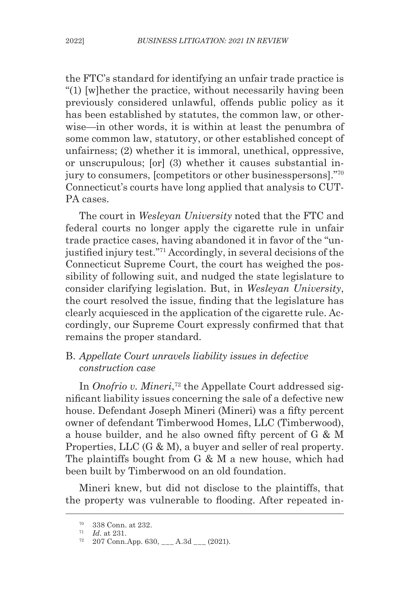the FTC's standard for identifying an unfair trade practice is "(1) [w]hether the practice, without necessarily having been previously considered unlawful, offends public policy as it has been established by statutes, the common law, or otherwise—in other words, it is within at least the penumbra of some common law, statutory, or other established concept of unfairness; (2) whether it is immoral, unethical, oppressive, or unscrupulous; [or] (3) whether it causes substantial injury to consumers, [competitors or other businesspersons]."<sup>70</sup> Connecticut's courts have long applied that analysis to CUT-PA cases.

The court in *Wesleyan University* noted that the FTC and federal courts no longer apply the cigarette rule in unfair trade practice cases, having abandoned it in favor of the "unjustified injury test."71 Accordingly, in several decisions of the Connecticut Supreme Court, the court has weighed the possibility of following suit, and nudged the state legislature to consider clarifying legislation. But, in *Wesleyan University*, the court resolved the issue, finding that the legislature has clearly acquiesced in the application of the cigarette rule. Accordingly, our Supreme Court expressly confirmed that that remains the proper standard.

### B. *Appellate Court unravels liability issues in defective construction case*

In *Onofrio v. Mineri*, 72 the Appellate Court addressed significant liability issues concerning the sale of a defective new house. Defendant Joseph Mineri (Mineri) was a fifty percent owner of defendant Timberwood Homes, LLC (Timberwood), a house builder, and he also owned fifty percent of G & M Properties, LLC (G & M), a buyer and seller of real property. The plaintiffs bought from G & M a new house, which had been built by Timberwood on an old foundation.

Mineri knew, but did not disclose to the plaintiffs, that the property was vulnerable to flooding. After repeated in-

<sup>70</sup> 338 Conn. at 232.

<sup>71</sup> *Id*. at 231.

 $72 \quad 207 \text{ Conn.}$ App. 630, \_\_\_ A.3d \_\_\_ (2021).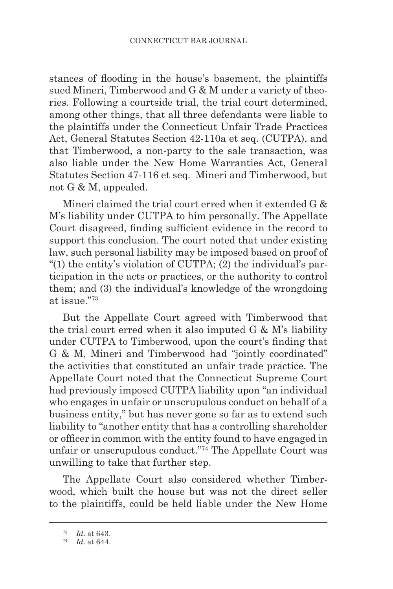stances of flooding in the house's basement, the plaintiffs sued Mineri, Timberwood and G & M under a variety of theories. Following a courtside trial, the trial court determined, among other things, that all three defendants were liable to the plaintiffs under the Connecticut Unfair Trade Practices Act, General Statutes Section 42-110a et seq. (CUTPA), and that Timberwood, a non-party to the sale transaction, was also liable under the New Home Warranties Act, General Statutes Section 47-116 et seq. Mineri and Timberwood, but not G & M, appealed.

Mineri claimed the trial court erred when it extended G & M's liability under CUTPA to him personally. The Appellate Court disagreed, finding sufficient evidence in the record to support this conclusion. The court noted that under existing law, such personal liability may be imposed based on proof of "(1) the entity's violation of CUTPA; (2) the individual's participation in the acts or practices, or the authority to control them; and (3) the individual's knowledge of the wrongdoing at issue."73

But the Appellate Court agreed with Timberwood that the trial court erred when it also imputed G & M's liability under CUTPA to Timberwood, upon the court's finding that G & M, Mineri and Timberwood had "jointly coordinated" the activities that constituted an unfair trade practice. The Appellate Court noted that the Connecticut Supreme Court had previously imposed CUTPA liability upon "an individual who engages in unfair or unscrupulous conduct on behalf of a business entity," but has never gone so far as to extend such liability to "another entity that has a controlling shareholder or officer in common with the entity found to have engaged in unfair or unscrupulous conduct."74 The Appellate Court was unwilling to take that further step.

The Appellate Court also considered whether Timberwood, which built the house but was not the direct seller to the plaintiffs, could be held liable under the New Home

<sup>73</sup> *Id*. at 643.

<sup>74</sup> *Id*. at 644.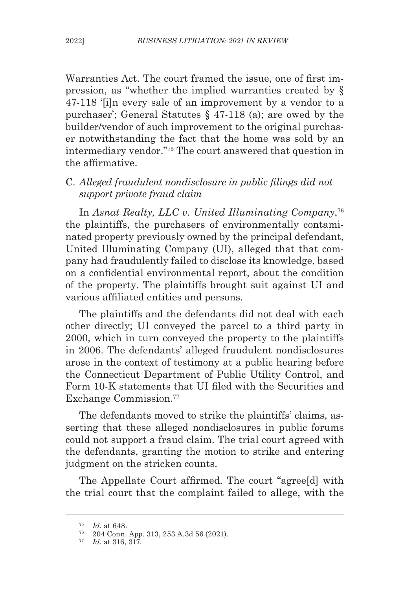Warranties Act. The court framed the issue, one of first impression, as "whether the implied warranties created by § 47-118 '[i]n every sale of an improvement by a vendor to a purchaser'; General Statutes § 47-118 (a); are owed by the builder/vendor of such improvement to the original purchaser notwithstanding the fact that the home was sold by an intermediary vendor."75 The court answered that question in the affirmative.

C. *Alleged fraudulent nondisclosure in public filings did not support private fraud claim*

In *Asnat Realty, LLC v. United Illuminating Company*, 76 the plaintiffs, the purchasers of environmentally contaminated property previously owned by the principal defendant, United Illuminating Company (UI), alleged that that company had fraudulently failed to disclose its knowledge, based on a confidential environmental report, about the condition of the property. The plaintiffs brought suit against UI and various affiliated entities and persons.

The plaintiffs and the defendants did not deal with each other directly; UI conveyed the parcel to a third party in 2000, which in turn conveyed the property to the plaintiffs in 2006. The defendants' alleged fraudulent nondisclosures arose in the context of testimony at a public hearing before the Connecticut Department of Public Utility Control, and Form 10-K statements that UI filed with the Securities and Exchange Commission.77

The defendants moved to strike the plaintiffs' claims, asserting that these alleged nondisclosures in public forums could not support a fraud claim. The trial court agreed with the defendants, granting the motion to strike and entering judgment on the stricken counts.

The Appellate Court affirmed. The court "agree[d] with the trial court that the complaint failed to allege, with the

<sup>75</sup> *Id*. at 648.

<sup>76</sup> 204 Conn. App. 313, 253 A.3d 56 (2021).

<sup>77</sup> *Id*. at 316, 317.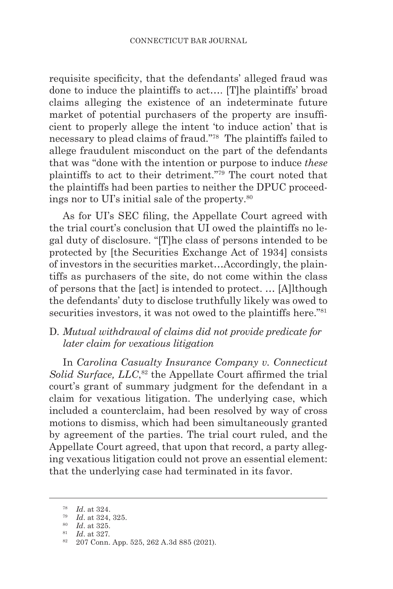requisite specificity, that the defendants' alleged fraud was done to induce the plaintiffs to act…. [T]he plaintiffs' broad claims alleging the existence of an indeterminate future market of potential purchasers of the property are insufficient to properly allege the intent 'to induce action' that is necessary to plead claims of fraud."78 The plaintiffs failed to allege fraudulent misconduct on the part of the defendants that was "done with the intention or purpose to induce *these*  plaintiffs to act to their detriment."79 The court noted that the plaintiffs had been parties to neither the DPUC proceedings nor to UI's initial sale of the property.80

As for UI's SEC filing, the Appellate Court agreed with the trial court's conclusion that UI owed the plaintiffs no legal duty of disclosure. "[T]he class of persons intended to be protected by [the Securities Exchange Act of 1934] consists of investors in the securities market…Accordingly, the plaintiffs as purchasers of the site, do not come within the class of persons that the [act] is intended to protect. … [A]lthough the defendants' duty to disclose truthfully likely was owed to securities investors, it was not owed to the plaintiffs here."<sup>81</sup>

### D. *Mutual withdrawal of claims did not provide predicate for later claim for vexatious litigation*

In *Carolina Casualty Insurance Company v. Connecticut* Solid Surface, LLC,<sup>82</sup> the Appellate Court affirmed the trial court's grant of summary judgment for the defendant in a claim for vexatious litigation. The underlying case, which included a counterclaim, had been resolved by way of cross motions to dismiss, which had been simultaneously granted by agreement of the parties. The trial court ruled, and the Appellate Court agreed, that upon that record, a party alleging vexatious litigation could not prove an essential element: that the underlying case had terminated in its favor.

<sup>78</sup> *Id*. at 324.

<sup>79</sup> *Id*. at 324, 325.

<sup>80</sup> *Id*. at 325.

<sup>81</sup> *Id*. at 327.

<sup>82</sup> 207 Conn. App. 525, 262 A.3d 885 (2021).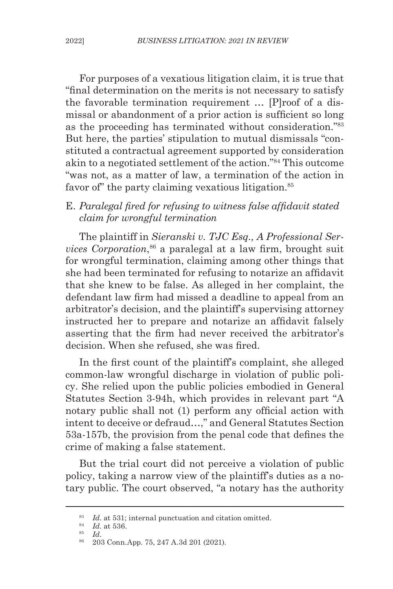For purposes of a vexatious litigation claim, it is true that "final determination on the merits is not necessary to satisfy the favorable termination requirement … [P]roof of a dismissal or abandonment of a prior action is sufficient so long as the proceeding has terminated without consideration."83 But here, the parties' stipulation to mutual dismissals "constituted a contractual agreement supported by consideration akin to a negotiated settlement of the action."84 This outcome "was not, as a matter of law, a termination of the action in favor of the party claiming vexatious litigation.<sup>85</sup>

# E. *Paralegal fired for refusing to witness false affidavit stated claim for wrongful termination*

The plaintiff in *Sieranski v. TJC Esq., A Professional Services Corporation*, <sup>86</sup> a paralegal at a law firm, brought suit for wrongful termination, claiming among other things that she had been terminated for refusing to notarize an affidavit that she knew to be false. As alleged in her complaint, the defendant law firm had missed a deadline to appeal from an arbitrator's decision, and the plaintiff's supervising attorney instructed her to prepare and notarize an affidavit falsely asserting that the firm had never received the arbitrator's decision. When she refused, she was fired.

In the first count of the plaintiff's complaint, she alleged common-law wrongful discharge in violation of public policy. She relied upon the public policies embodied in General Statutes Section 3-94h, which provides in relevant part "A notary public shall not (1) perform any official action with intent to deceive or defraud…," and General Statutes Section 53a-157b, the provision from the penal code that defines the crime of making a false statement.

But the trial court did not perceive a violation of public policy, taking a narrow view of the plaintiff's duties as a notary public. The court observed, "a notary has the authority

<sup>83</sup> *Id*. at 531; internal punctuation and citation omitted.

<sup>84</sup> *Id*. at 536.

<sup>85</sup> *Id*. 86 203 Conn.App. 75, 247 A.3d 201 (2021).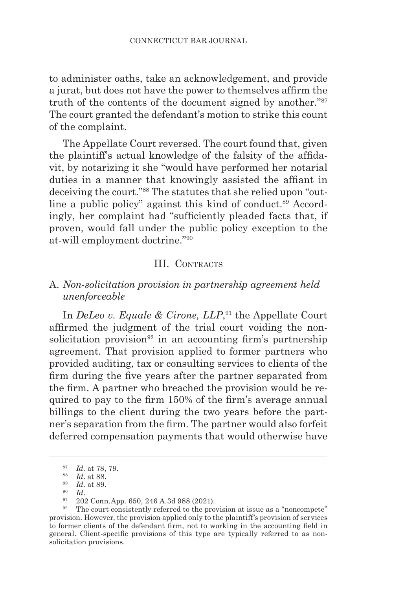to administer oaths, take an acknowledgement, and provide a jurat, but does not have the power to themselves affirm the truth of the contents of the document signed by another."87 The court granted the defendant's motion to strike this count of the complaint.

The Appellate Court reversed. The court found that, given the plaintiff's actual knowledge of the falsity of the affidavit, by notarizing it she "would have performed her notarial duties in a manner that knowingly assisted the affiant in deceiving the court."88 The statutes that she relied upon "outline a public policy" against this kind of conduct.<sup>89</sup> Accordingly, her complaint had "sufficiently pleaded facts that, if proven, would fall under the public policy exception to the at-will employment doctrine."90

#### III. CONTRACTS

### A. *Non-solicitation provision in partnership agreement held unenforceable*

In *DeLeo v. Equale & Cirone, LLP*, 91 the Appellate Court affirmed the judgment of the trial court voiding the nonsolicitation provision<sup>92</sup> in an accounting firm's partnership agreement. That provision applied to former partners who provided auditing, tax or consulting services to clients of the firm during the five years after the partner separated from the firm. A partner who breached the provision would be required to pay to the firm 150% of the firm's average annual billings to the client during the two years before the partner's separation from the firm. The partner would also forfeit deferred compensation payments that would otherwise have

 $\frac{87}{88}$  *Id.* at 78, 79.

 $\frac{88}{89}$  *Id.* at 88.

<sup>89</sup> *Id*. at 89.

 $\frac{90}{91}$  *Id.*<br> $\frac{202}{91}$  Conn.App. 650, 246 A.3d 988 (2021).

 $92$  The court consistently referred to the provision at issue as a "noncompete" provision. However, the provision applied only to the plaintiff's provision of services to former clients of the defendant firm, not to working in the accounting field in general. Client-specific provisions of this type are typically referred to as nonsolicitation provisions.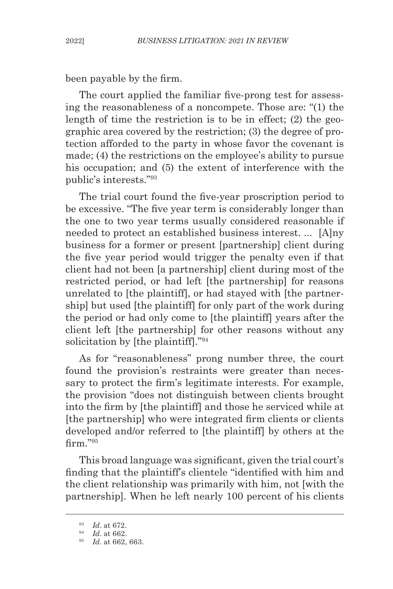been payable by the firm.

The court applied the familiar five-prong test for assessing the reasonableness of a noncompete. Those are: "(1) the length of time the restriction is to be in effect; (2) the geographic area covered by the restriction; (3) the degree of protection afforded to the party in whose favor the covenant is made; (4) the restrictions on the employee's ability to pursue his occupation; and (5) the extent of interference with the public's interests."93

The trial court found the five-year proscription period to be excessive. "The five year term is considerably longer than the one to two year terms usually considered reasonable if needed to protect an established business interest. ... [A]ny business for a former or present [partnership] client during the five year period would trigger the penalty even if that client had not been [a partnership] client during most of the restricted period, or had left [the partnership] for reasons unrelated to [the plaintiff], or had stayed with [the partnership] but used [the plaintiff] for only part of the work during the period or had only come to [the plaintiff] years after the client left [the partnership] for other reasons without any solicitation by [the plaintiff]."<sup>94</sup>

As for "reasonableness" prong number three, the court found the provision's restraints were greater than necessary to protect the firm's legitimate interests. For example, the provision "does not distinguish between clients brought into the firm by [the plaintiff] and those he serviced while at [the partnership] who were integrated firm clients or clients developed and/or referred to [the plaintiff] by others at the firm."95

This broad language was significant, given the trial court's finding that the plaintiff's clientele "identified with him and the client relationship was primarily with him, not [with the partnership]. When he left nearly 100 percent of his clients

<sup>93</sup> *Id*. at 672.

<sup>94</sup> *Id*. at 662.

<sup>95</sup> *Id*. at 662, 663.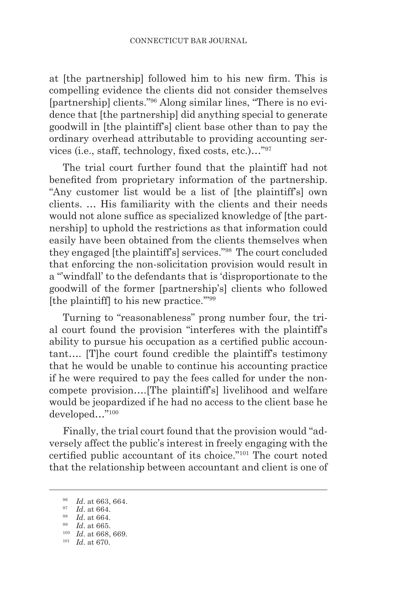at [the partnership] followed him to his new firm. This is compelling evidence the clients did not consider themselves [partnership] clients."96 Along similar lines, "There is no evidence that [the partnership] did anything special to generate goodwill in [the plaintiff's] client base other than to pay the ordinary overhead attributable to providing accounting services (i.e., staff, technology, fixed costs, etc.)…"<sup>97</sup>

The trial court further found that the plaintiff had not benefited from proprietary information of the partnership. "Any customer list would be a list of [the plaintiff's] own clients. … His familiarity with the clients and their needs would not alone suffice as specialized knowledge of [the partnership] to uphold the restrictions as that information could easily have been obtained from the clients themselves when they engaged [the plaintiff's] services."98 The court concluded that enforcing the non-solicitation provision would result in a "'windfall' to the defendants that is 'disproportionate to the goodwill of the former [partnership's] clients who followed [the plaintiff] to his new practice."<sup>99</sup>

Turning to "reasonableness" prong number four, the trial court found the provision "interferes with the plaintiff's ability to pursue his occupation as a certified public accountant…. [T]he court found credible the plaintiff's testimony that he would be unable to continue his accounting practice if he were required to pay the fees called for under the noncompete provision….[The plaintiff's] livelihood and welfare would be jeopardized if he had no access to the client base he developed…"100

Finally, the trial court found that the provision would "adversely affect the public's interest in freely engaging with the certified public accountant of its choice."101 The court noted that the relationship between accountant and client is one of

<sup>96</sup> *Id*. at 663, 664.

<sup>97</sup> *Id*. at 664.

<sup>98</sup> *Id*. at 664.

<sup>99</sup> *Id*. at 665.

<sup>100</sup> *Id*. at 668, 669.

<sup>101</sup> *Id*. at 670.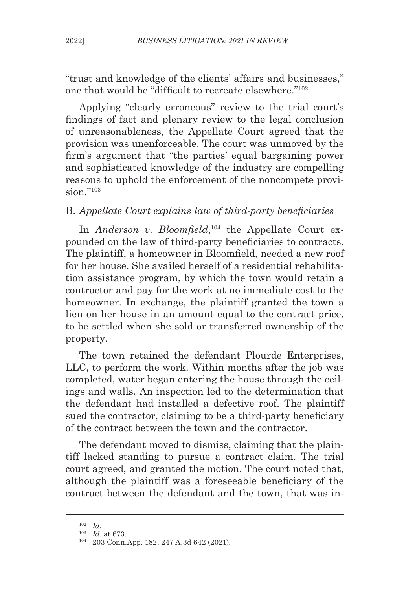"trust and knowledge of the clients' affairs and businesses," one that would be "difficult to recreate elsewhere."<sup>102</sup>

Applying "clearly erroneous" review to the trial court's findings of fact and plenary review to the legal conclusion of unreasonableness, the Appellate Court agreed that the provision was unenforceable. The court was unmoved by the firm's argument that "the parties' equal bargaining power and sophisticated knowledge of the industry are compelling reasons to uphold the enforcement of the noncompete provision $"$ <sup>103</sup>

# B. *Appellate Court explains law of third-party beneficiaries*

In *Anderson v. Bloomfield*, 104 the Appellate Court expounded on the law of third-party beneficiaries to contracts. The plaintiff, a homeowner in Bloomfield, needed a new roof for her house. She availed herself of a residential rehabilitation assistance program, by which the town would retain a contractor and pay for the work at no immediate cost to the homeowner. In exchange, the plaintiff granted the town a lien on her house in an amount equal to the contract price, to be settled when she sold or transferred ownership of the property.

The town retained the defendant Plourde Enterprises, LLC, to perform the work. Within months after the job was completed, water began entering the house through the ceilings and walls. An inspection led to the determination that the defendant had installed a defective roof. The plaintiff sued the contractor, claiming to be a third-party beneficiary of the contract between the town and the contractor.

The defendant moved to dismiss, claiming that the plaintiff lacked standing to pursue a contract claim. The trial court agreed, and granted the motion. The court noted that, although the plaintiff was a foreseeable beneficiary of the contract between the defendant and the town, that was in-

<sup>102</sup> *Id*. 103 *Id*. at 673.

<sup>104</sup> 203 Conn.App. 182, 247 A.3d 642 (2021).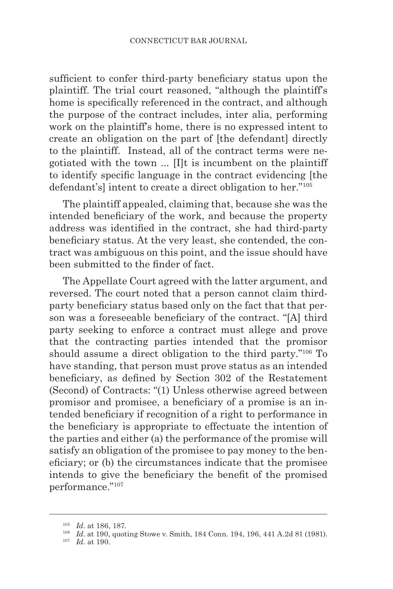sufficient to confer third-party beneficiary status upon the plaintiff. The trial court reasoned, "although the plaintiff's home is specifically referenced in the contract, and although the purpose of the contract includes, inter alia, performing work on the plaintiff's home, there is no expressed intent to create an obligation on the part of [the defendant] directly to the plaintiff. Instead, all of the contract terms were negotiated with the town ... [I]t is incumbent on the plaintiff to identify specific language in the contract evidencing [the defendant's] intent to create a direct obligation to her."<sup>105</sup>

The plaintiff appealed, claiming that, because she was the intended beneficiary of the work, and because the property address was identified in the contract, she had third-party beneficiary status. At the very least, she contended, the contract was ambiguous on this point, and the issue should have been submitted to the finder of fact.

The Appellate Court agreed with the latter argument, and reversed. The court noted that a person cannot claim thirdparty beneficiary status based only on the fact that that person was a foreseeable beneficiary of the contract. "[A] third party seeking to enforce a contract must allege and prove that the contracting parties intended that the promisor should assume a direct obligation to the third party."106 To have standing, that person must prove status as an intended beneficiary, as defined by Section 302 of the Restatement (Second) of Contracts: "(1) Unless otherwise agreed between promisor and promisee, a beneficiary of a promise is an intended beneficiary if recognition of a right to performance in the beneficiary is appropriate to effectuate the intention of the parties and either (a) the performance of the promise will satisfy an obligation of the promisee to pay money to the beneficiary; or (b) the circumstances indicate that the promisee intends to give the beneficiary the benefit of the promised performance."107

<sup>105</sup> *Id*. at 186, 187.

<sup>106</sup> *Id*. at 190, quoting Stowe v. Smith, 184 Conn. 194, 196, 441 A.2d 81 (1981).

<sup>107</sup> *Id*. at 190.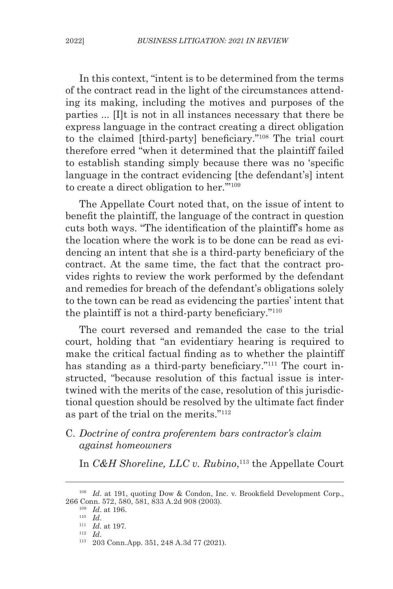In this context, "intent is to be determined from the terms of the contract read in the light of the circumstances attending its making, including the motives and purposes of the parties ... [I]t is not in all instances necessary that there be express language in the contract creating a direct obligation to the claimed [third-party] beneficiary."108 The trial court therefore erred "when it determined that the plaintiff failed to establish standing simply because there was no 'specific language in the contract evidencing [the defendant's] intent to create a direct obligation to her.'"109

The Appellate Court noted that, on the issue of intent to benefit the plaintiff, the language of the contract in question cuts both ways. "The identification of the plaintiff's home as the location where the work is to be done can be read as evidencing an intent that she is a third-party beneficiary of the contract. At the same time, the fact that the contract provides rights to review the work performed by the defendant and remedies for breach of the defendant's obligations solely to the town can be read as evidencing the parties' intent that the plaintiff is not a third-party beneficiary."<sup>110</sup>

The court reversed and remanded the case to the trial court, holding that "an evidentiary hearing is required to make the critical factual finding as to whether the plaintiff has standing as a third-party beneficiary."<sup>111</sup> The court instructed, "because resolution of this factual issue is intertwined with the merits of the case, resolution of this jurisdictional question should be resolved by the ultimate fact finder as part of the trial on the merits."112

### C. *Doctrine of contra proferentem bars contractor's claim against homeowners*

In *C&H Shoreline, LLC v. Rubino*, 113 the Appellate Court

<sup>&</sup>lt;sup>108</sup> *Id.* at 191, quoting Dow & Condon, Inc. v. Brookfield Development Corp., 266 Conn. 572, 580, 581, 833 A.2d 908 (2003).

 $\frac{109}{110}$   $\frac{Id.}{Id.}$  at 196.

<sup>&</sup>lt;sup>111</sup> *Id.* at 197.<br><sup>112</sup> *Id.* 

<sup>112</sup> *Id*. 113 203 Conn.App. 351, 248 A.3d 77 (2021).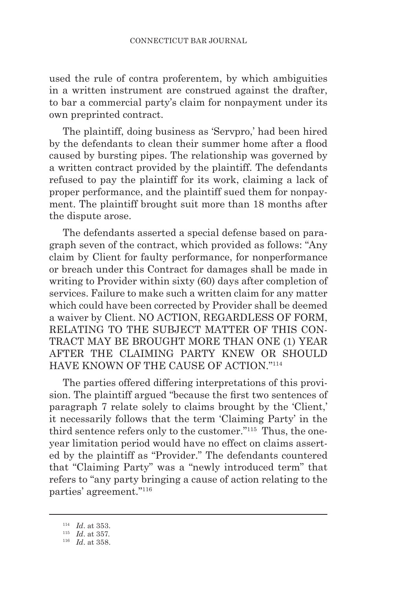used the rule of contra proferentem, by which ambiguities in a written instrument are construed against the drafter, to bar a commercial party's claim for nonpayment under its own preprinted contract.

The plaintiff, doing business as 'Servpro,' had been hired by the defendants to clean their summer home after a flood caused by bursting pipes. The relationship was governed by a written contract provided by the plaintiff. The defendants refused to pay the plaintiff for its work, claiming a lack of proper performance, and the plaintiff sued them for nonpayment. The plaintiff brought suit more than 18 months after the dispute arose.

The defendants asserted a special defense based on paragraph seven of the contract, which provided as follows: "Any claim by Client for faulty performance, for nonperformance or breach under this Contract for damages shall be made in writing to Provider within sixty (60) days after completion of services. Failure to make such a written claim for any matter which could have been corrected by Provider shall be deemed a waiver by Client. NO ACTION, REGARDLESS OF FORM, RELATING TO THE SUBJECT MATTER OF THIS CON-TRACT MAY BE BROUGHT MORE THAN ONE (1) YEAR AFTER THE CLAIMING PARTY KNEW OR SHOULD HAVE KNOWN OF THE CAUSE OF ACTION."114

The parties offered differing interpretations of this provision. The plaintiff argued "because the first two sentences of paragraph 7 relate solely to claims brought by the 'Client,' it necessarily follows that the term 'Claiming Party' in the third sentence refers only to the customer."115 Thus, the oneyear limitation period would have no effect on claims asserted by the plaintiff as "Provider." The defendants countered that "Claiming Party" was a "newly introduced term" that refers to "any party bringing a cause of action relating to the parties' agreement."116

<sup>&</sup>lt;sup>114</sup> *Id.* at 353.<br><sup>115</sup> *Id.* at 357.

<sup>&</sup>lt;sup>116</sup> *Id.* at 358.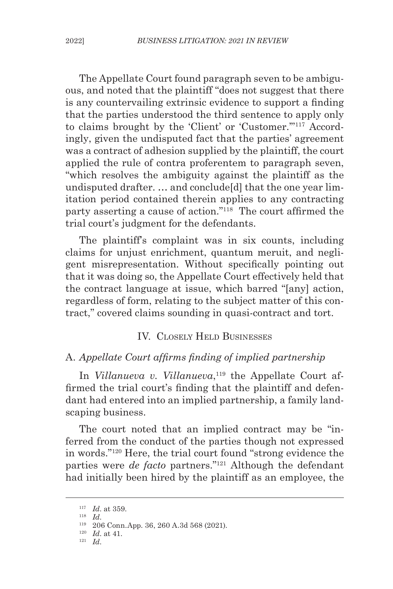The Appellate Court found paragraph seven to be ambiguous, and noted that the plaintiff "does not suggest that there is any countervailing extrinsic evidence to support a finding that the parties understood the third sentence to apply only to claims brought by the 'Client' or 'Customer.'"117 Accordingly, given the undisputed fact that the parties' agreement was a contract of adhesion supplied by the plaintiff, the court applied the rule of contra proferentem to paragraph seven, "which resolves the ambiguity against the plaintiff as the undisputed drafter. … and conclude[d] that the one year limitation period contained therein applies to any contracting party asserting a cause of action."118 The court affirmed the trial court's judgment for the defendants.

The plaintiff's complaint was in six counts, including claims for unjust enrichment, quantum meruit, and negligent misrepresentation. Without specifically pointing out that it was doing so, the Appellate Court effectively held that the contract language at issue, which barred "[any] action, regardless of form, relating to the subject matter of this contract," covered claims sounding in quasi-contract and tort.

#### IV. Closely Held Businesses

#### A. *Appellate Court affirms finding of implied partnership*

In *Villanueva v. Villanueva*, 119 the Appellate Court affirmed the trial court's finding that the plaintiff and defendant had entered into an implied partnership, a family landscaping business.

The court noted that an implied contract may be "inferred from the conduct of the parties though not expressed in words."120 Here, the trial court found "strong evidence the parties were *de facto* partners."121 Although the defendant had initially been hired by the plaintiff as an employee, the

 $\frac{117}{118}$  *Id.* at 359.

<sup>118</sup> *Id*. 119 206 Conn.App. 36, 260 A.3d 568 (2021).

<sup>120</sup> *Id*. at 41. 121 *Id*.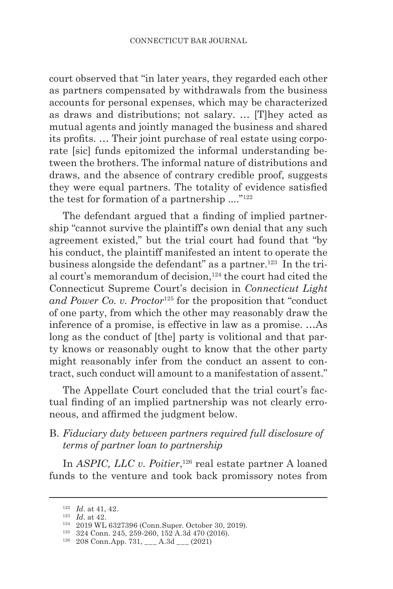court observed that "in later years, they regarded each other as partners compensated by withdrawals from the business accounts for personal expenses, which may be characterized as draws and distributions; not salary. … [T]hey acted as mutual agents and jointly managed the business and shared its profits. … Their joint purchase of real estate using corporate [sic] funds epitomized the informal understanding between the brothers. The informal nature of distributions and draws, and the absence of contrary credible proof, suggests they were equal partners. The totality of evidence satisfied the test for formation of a partnership  $\ldots$ <sup>"122</sup>

The defendant argued that a finding of implied partnership "cannot survive the plaintiff's own denial that any such agreement existed," but the trial court had found that "by his conduct, the plaintiff manifested an intent to operate the business alongside the defendant" as a partner.<sup>123</sup> In the trial court's memorandum of decision,<sup>124</sup> the court had cited the Connecticut Supreme Court's decision in *Connecticut Light and Power Co. v. Proctor*125 for the proposition that "conduct of one party, from which the other may reasonably draw the inference of a promise, is effective in law as a promise. …As long as the conduct of [the] party is volitional and that party knows or reasonably ought to know that the other party might reasonably infer from the conduct an assent to contract, such conduct will amount to a manifestation of assent."

The Appellate Court concluded that the trial court's factual finding of an implied partnership was not clearly erroneous, and affirmed the judgment below.

#### B. *Fiduciary duty between partners required full disclosure of terms of partner loan to partnership*

In *ASPIC, LLC v. Poitier*,<sup>126</sup> real estate partner A loaned funds to the venture and took back promissory notes from

<sup>&</sup>lt;sup>122</sup> *Id.* at 41, 42.<br><sup>123</sup> *Id.* at 42.

<sup>&</sup>lt;sup>124</sup> 2019 WL 6327396 (Conn.Super. October 30, 2019).<br><sup>125</sup> 324 Conn. 245, 259-260, 152 A.3d 470 (2016).

 $126$  324 Conn. 215, 259-260, 152 1150 116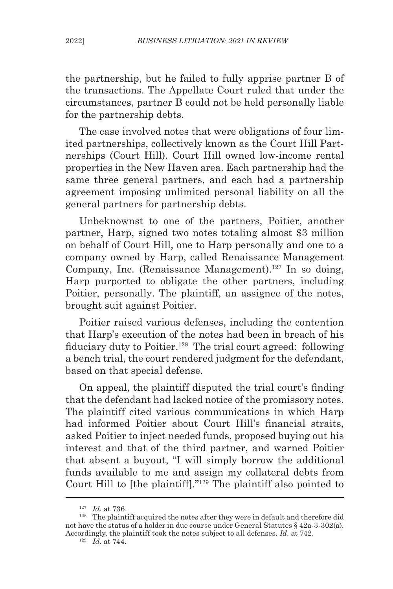the partnership, but he failed to fully apprise partner B of the transactions. The Appellate Court ruled that under the circumstances, partner B could not be held personally liable for the partnership debts.

The case involved notes that were obligations of four limited partnerships, collectively known as the Court Hill Partnerships (Court Hill). Court Hill owned low-income rental properties in the New Haven area. Each partnership had the same three general partners, and each had a partnership agreement imposing unlimited personal liability on all the general partners for partnership debts.

Unbeknownst to one of the partners, Poitier, another partner, Harp, signed two notes totaling almost \$3 million on behalf of Court Hill, one to Harp personally and one to a company owned by Harp, called Renaissance Management Company, Inc. (Renaissance Management).<sup>127</sup> In so doing, Harp purported to obligate the other partners, including Poitier, personally. The plaintiff, an assignee of the notes, brought suit against Poitier.

Poitier raised various defenses, including the contention that Harp's execution of the notes had been in breach of his fiduciary duty to Poitier.<sup>128</sup> The trial court agreed: following a bench trial, the court rendered judgment for the defendant, based on that special defense.

On appeal, the plaintiff disputed the trial court's finding that the defendant had lacked notice of the promissory notes. The plaintiff cited various communications in which Harp had informed Poitier about Court Hill's financial straits, asked Poitier to inject needed funds, proposed buying out his interest and that of the third partner, and warned Poitier that absent a buyout, "I will simply borrow the additional funds available to me and assign my collateral debts from Court Hill to [the plaintiff]."129 The plaintiff also pointed to

<sup>127</sup> *Id*. at 736.

<sup>&</sup>lt;sup>128</sup> The plaintiff acquired the notes after they were in default and therefore did not have the status of a holder in due course under General Statutes § 42a-3-302(a). Accordingly, the plaintiff took the notes subject to all defenses. *Id*. at 742. <sup>129</sup> *Id.* at 744.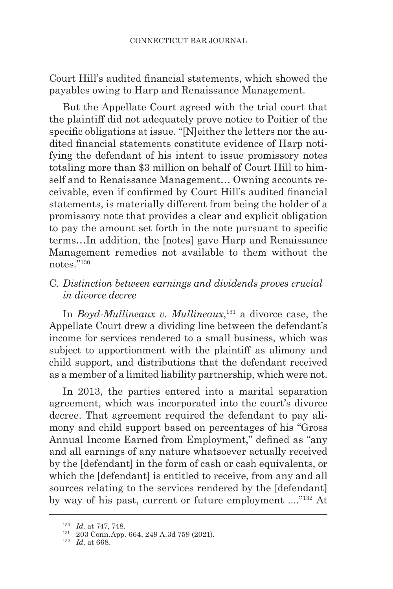Court Hill's audited financial statements, which showed the payables owing to Harp and Renaissance Management.

But the Appellate Court agreed with the trial court that the plaintiff did not adequately prove notice to Poitier of the specific obligations at issue. "[N]either the letters nor the audited financial statements constitute evidence of Harp notifying the defendant of his intent to issue promissory notes totaling more than \$3 million on behalf of Court Hill to himself and to Renaissance Management… Owning accounts receivable, even if confirmed by Court Hill's audited financial statements, is materially different from being the holder of a promissory note that provides a clear and explicit obligation to pay the amount set forth in the note pursuant to specific terms…In addition, the [notes] gave Harp and Renaissance Management remedies not available to them without the notes."130

# C*. Distinction between earnings and dividends proves crucial in divorce decree*

In *Boyd-Mullineaux v. Mullineaux*, 131 a divorce case, the Appellate Court drew a dividing line between the defendant's income for services rendered to a small business, which was subject to apportionment with the plaintiff as alimony and child support, and distributions that the defendant received as a member of a limited liability partnership, which were not.

In 2013, the parties entered into a marital separation agreement, which was incorporated into the court's divorce decree. That agreement required the defendant to pay alimony and child support based on percentages of his "Gross Annual Income Earned from Employment," defined as "any and all earnings of any nature whatsoever actually received by the [defendant] in the form of cash or cash equivalents, or which the [defendant] is entitled to receive, from any and all sources relating to the services rendered by the [defendant] by way of his past, current or future employment ...."132 At

<sup>130</sup> *Id*. at 747, 748.

<sup>131</sup> 203 Conn.App. 664, 249 A.3d 759 (2021). 132 *Id*. at 668.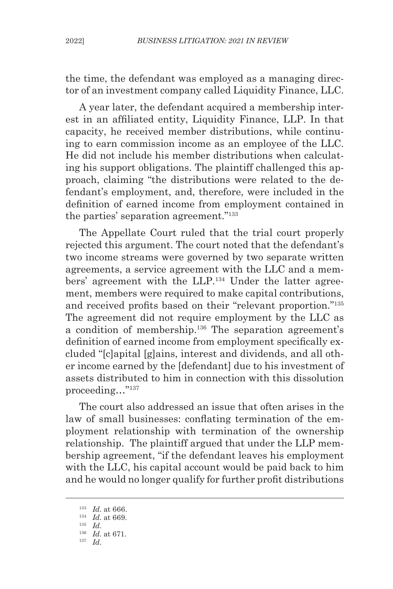the time, the defendant was employed as a managing director of an investment company called Liquidity Finance, LLC.

A year later, the defendant acquired a membership interest in an affiliated entity, Liquidity Finance, LLP. In that capacity, he received member distributions, while continuing to earn commission income as an employee of the LLC. He did not include his member distributions when calculating his support obligations. The plaintiff challenged this approach, claiming "the distributions were related to the defendant's employment, and, therefore, were included in the definition of earned income from employment contained in the parties' separation agreement."133

The Appellate Court ruled that the trial court properly rejected this argument. The court noted that the defendant's two income streams were governed by two separate written agreements, a service agreement with the LLC and a members' agreement with the LLP.<sup>134</sup> Under the latter agreement, members were required to make capital contributions, and received profits based on their "relevant proportion."<sup>135</sup> The agreement did not require employment by the LLC as a condition of membership.136 The separation agreement's definition of earned income from employment specifically excluded "[c]apital [g]ains, interest and dividends, and all other income earned by the [defendant] due to his investment of assets distributed to him in connection with this dissolution proceeding…"137

The court also addressed an issue that often arises in the law of small businesses: conflating termination of the employment relationship with termination of the ownership relationship. The plaintiff argued that under the LLP membership agreement, "if the defendant leaves his employment with the LLC, his capital account would be paid back to him and he would no longer qualify for further profit distributions

<sup>137</sup> *Id*.

<sup>&</sup>lt;sup>133</sup> *Id.* at 666.<br><sup>134</sup> *Id.* at 669.

<sup>&</sup>lt;sup>135</sup> *Id.* 136 *Id.* at 671.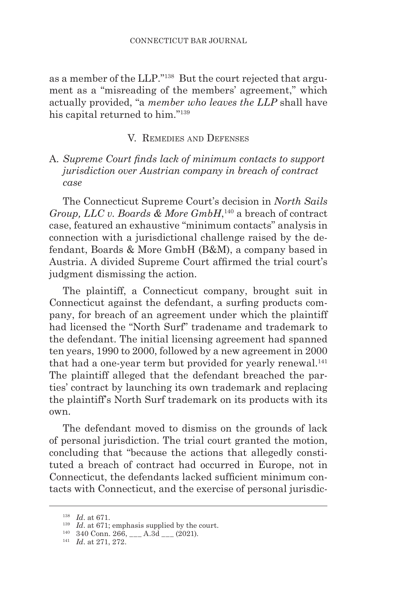as a member of the LLP."138 But the court rejected that argument as a "misreading of the members' agreement," which actually provided, "a *member who leaves the LLP* shall have his capital returned to him."139

### V. Remedies and Defenses

A*. Supreme Court finds lack of minimum contacts to support jurisdiction over Austrian company in breach of contract case*

The Connecticut Supreme Court's decision in *North Sails Group, LLC v. Boards & More GmbH*, 140 a breach of contract case, featured an exhaustive "minimum contacts" analysis in connection with a jurisdictional challenge raised by the defendant, Boards & More GmbH (B&M), a company based in Austria. A divided Supreme Court affirmed the trial court's judgment dismissing the action.

The plaintiff, a Connecticut company, brought suit in Connecticut against the defendant, a surfing products company, for breach of an agreement under which the plaintiff had licensed the "North Surf" tradename and trademark to the defendant. The initial licensing agreement had spanned ten years, 1990 to 2000, followed by a new agreement in 2000 that had a one-year term but provided for yearly renewal.<sup>141</sup> The plaintiff alleged that the defendant breached the parties' contract by launching its own trademark and replacing the plaintiff's North Surf trademark on its products with its own.

The defendant moved to dismiss on the grounds of lack of personal jurisdiction. The trial court granted the motion, concluding that "because the actions that allegedly constituted a breach of contract had occurred in Europe, not in Connecticut, the defendants lacked sufficient minimum contacts with Connecticut, and the exercise of personal jurisdic-

<sup>138</sup> *Id*. at 671.

<sup>&</sup>lt;sup>139</sup> *Id.* at 671; emphasis supplied by the court.

<sup>140</sup> 340 Conn. 266, \_\_\_ A.3d \_\_\_ (2021). 141 *Id*. at 271, 272.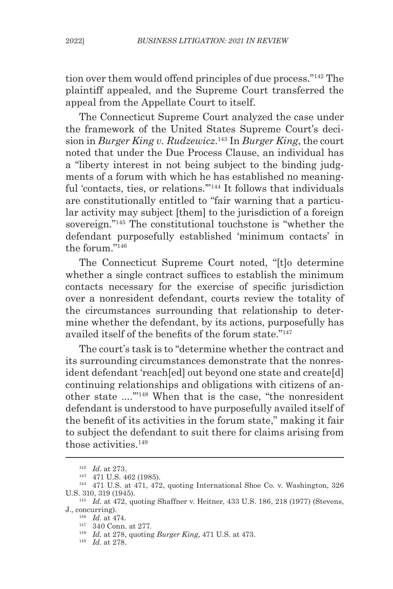tion over them would offend principles of due process."142 The plaintiff appealed, and the Supreme Court transferred the appeal from the Appellate Court to itself.

The Connecticut Supreme Court analyzed the case under the framework of the United States Supreme Court's decision in *Burger King v. Rudzewicz*. 143 In *Burger King*, the court noted that under the Due Process Clause, an individual has a "liberty interest in not being subject to the binding judgments of a forum with which he has established no meaningful 'contacts, ties, or relations."<sup>144</sup> It follows that individuals are constitutionally entitled to "fair warning that a particular activity may subject [them] to the jurisdiction of a foreign sovereign."145 The constitutional touchstone is "whether the defendant purposefully established 'minimum contacts' in the forum."146

The Connecticut Supreme Court noted, "[t]o determine whether a single contract suffices to establish the minimum contacts necessary for the exercise of specific jurisdiction over a nonresident defendant, courts review the totality of the circumstances surrounding that relationship to determine whether the defendant, by its actions, purposefully has availed itself of the benefits of the forum state."147

The court's task is to "determine whether the contract and its surrounding circumstances demonstrate that the nonresident defendant 'reach[ed] out beyond one state and create[d] continuing relationships and obligations with citizens of another state ....'"148 When that is the case, "the nonresident defendant is understood to have purposefully availed itself of the benefit of its activities in the forum state," making it fair to subject the defendant to suit there for claims arising from those activities.<sup>149</sup>

<sup>142</sup> *Id*. at 273.

<sup>143</sup> 471 U.S. 462 (1985).

<sup>144</sup> 471 U.S. at 471, 472, quoting International Shoe Co. v. Washington, 326 U.S. 310, 319 (1945). 145 *Id*. at 472, quoting Shaffner v. Heitner, 433 U.S. 186, 218 (1977) (Stevens,

J., concurring).

<sup>146</sup> *Id*. at 474.

<sup>147</sup> 340 Conn. at 277.

<sup>148</sup> *Id*. at 278, quoting *Burger King*, 471 U.S. at 473.

<sup>149</sup> *Id*. at 278.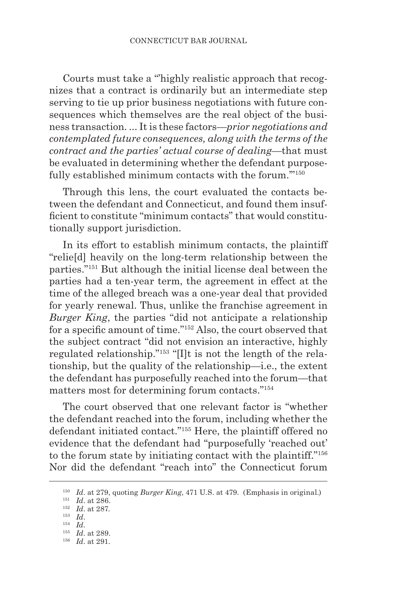Courts must take a "'highly realistic approach that recognizes that a contract is ordinarily but an intermediate step serving to tie up prior business negotiations with future consequences which themselves are the real object of the business transaction. ... It is these factors—*prior negotiations and contemplated future consequences, along with the terms of the contract and the parties' actual course of dealing*—that must be evaluated in determining whether the defendant purposefully established minimum contacts with the forum."<sup>150</sup>

Through this lens, the court evaluated the contacts between the defendant and Connecticut, and found them insufficient to constitute "minimum contacts" that would constitutionally support jurisdiction.

In its effort to establish minimum contacts, the plaintiff "relie[d] heavily on the long-term relationship between the parties."151 But although the initial license deal between the parties had a ten-year term, the agreement in effect at the time of the alleged breach was a one-year deal that provided for yearly renewal. Thus, unlike the franchise agreement in *Burger King*, the parties "did not anticipate a relationship for a specific amount of time."152 Also, the court observed that the subject contract "did not envision an interactive, highly regulated relationship."153 "[I]t is not the length of the relationship, but the quality of the relationship—i.e., the extent the defendant has purposefully reached into the forum—that matters most for determining forum contacts."154

The court observed that one relevant factor is "whether the defendant reached into the forum, including whether the defendant initiated contact."155 Here, the plaintiff offered no evidence that the defendant had "purposefully 'reached out' to the forum state by initiating contact with the plaintiff."156 Nor did the defendant "reach into" the Connecticut forum

<sup>150</sup> *Id*. at 279, quoting *Burger King*, 471 U.S. at 479. (Emphasis in original.)

<sup>151</sup> *Id*. at 286.

<sup>152</sup> *Id*. at 287. 153 *Id*.

<sup>&</sup>lt;sup>155</sup> *Id.* at 289.

<sup>156</sup> *Id*. at 291.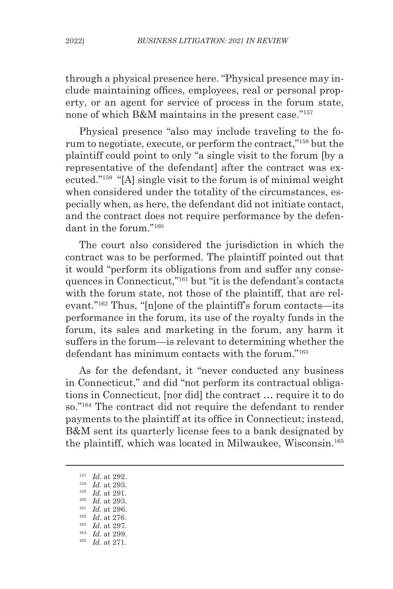through a physical presence here. "Physical presence may include maintaining offices, employees, real or personal property, or an agent for service of process in the forum state, none of which B&M maintains in the present case."<sup>157</sup>

Physical presence "also may include traveling to the forum to negotiate, execute, or perform the contract,"158 but the plaintiff could point to only "a single visit to the forum [by a representative of the defendant] after the contract was executed."159 "[A] single visit to the forum is of minimal weight when considered under the totality of the circumstances, especially when, as here, the defendant did not initiate contact, and the contract does not require performance by the defendant in the forum."160

The court also considered the jurisdiction in which the contract was to be performed. The plaintiff pointed out that it would "perform its obligations from and suffer any consequences in Connecticut,"161 but "it is the defendant's contacts with the forum state, not those of the plaintiff, that are relevant."162 Thus, "[n]one of the plaintiff's forum contacts—its performance in the forum, its use of the royalty funds in the forum, its sales and marketing in the forum, any harm it suffers in the forum—is relevant to determining whether the defendant has minimum contacts with the forum."163

As for the defendant, it "never conducted any business in Connecticut," and did "not perform its contractual obligations in Connecticut, [nor did] the contract … require it to do so."164 The contract did not require the defendant to render payments to the plaintiff at its office in Connecticut; instead, B&M sent its quarterly license fees to a bank designated by the plaintiff, which was located in Milwaukee, Wisconsin.165

<sup>165</sup> *Id*. at 271.

<sup>157</sup> *Id*. at 292.

<sup>&</sup>lt;sup>158</sup> *Id.* at 293.<br><sup>159</sup> *Id.* at 291.

<sup>&</sup>lt;sup>160</sup> *Id.* at 293.

<sup>161</sup> *Id*. at 296.

<sup>162</sup> *Id*. at 276. <sup>163</sup> *Id*. at 297.

<sup>164</sup> *Id*. at 299.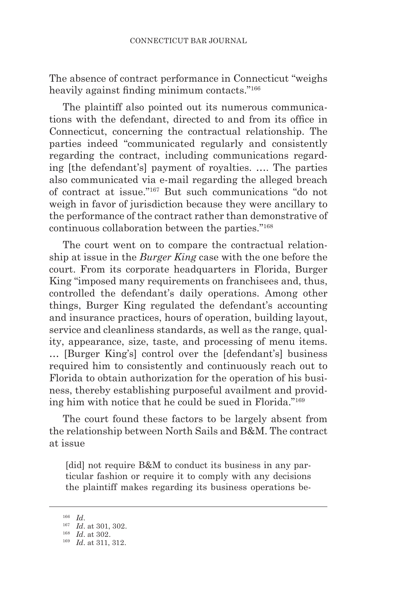The absence of contract performance in Connecticut "weighs heavily against finding minimum contacts."<sup>166</sup>

The plaintiff also pointed out its numerous communications with the defendant, directed to and from its office in Connecticut, concerning the contractual relationship. The parties indeed "communicated regularly and consistently regarding the contract, including communications regarding [the defendant's] payment of royalties. …. The parties also communicated via e-mail regarding the alleged breach of contract at issue."167 But such communications "do not weigh in favor of jurisdiction because they were ancillary to the performance of the contract rather than demonstrative of continuous collaboration between the parties."168

The court went on to compare the contractual relationship at issue in the *Burger King* case with the one before the court. From its corporate headquarters in Florida, Burger King "imposed many requirements on franchisees and, thus, controlled the defendant's daily operations. Among other things, Burger King regulated the defendant's accounting and insurance practices, hours of operation, building layout, service and cleanliness standards, as well as the range, quality, appearance, size, taste, and processing of menu items. … [Burger King's] control over the [defendant's] business required him to consistently and continuously reach out to Florida to obtain authorization for the operation of his business, thereby establishing purposeful availment and providing him with notice that he could be sued in Florida."169

The court found these factors to be largely absent from the relationship between North Sails and B&M. The contract at issue

[did] not require B&M to conduct its business in any particular fashion or require it to comply with any decisions the plaintiff makes regarding its business operations be-

<sup>166</sup> *Id*. 167 *Id*. at 301, 302.

<sup>168</sup> *Id*. at 302.

<sup>169</sup> *Id*. at 311, 312.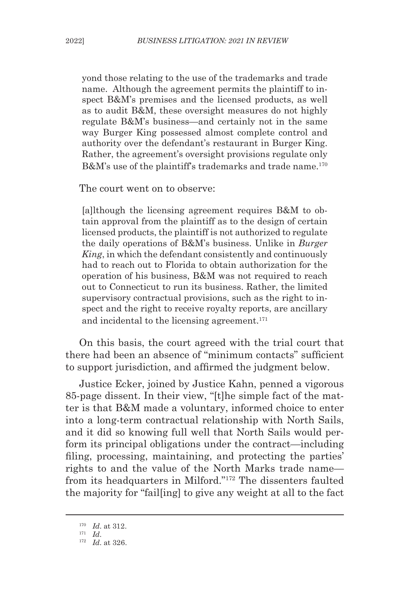yond those relating to the use of the trademarks and trade name. Although the agreement permits the plaintiff to inspect B&M's premises and the licensed products, as well as to audit B&M, these oversight measures do not highly regulate B&M's business—and certainly not in the same way Burger King possessed almost complete control and authority over the defendant's restaurant in Burger King. Rather, the agreement's oversight provisions regulate only B&M's use of the plaintiff's trademarks and trade name.<sup>170</sup>

The court went on to observe:

[a]lthough the licensing agreement requires B&M to obtain approval from the plaintiff as to the design of certain licensed products, the plaintiff is not authorized to regulate the daily operations of B&M's business. Unlike in *Burger King*, in which the defendant consistently and continuously had to reach out to Florida to obtain authorization for the operation of his business, B&M was not required to reach out to Connecticut to run its business. Rather, the limited supervisory contractual provisions, such as the right to inspect and the right to receive royalty reports, are ancillary and incidental to the licensing agreement.<sup>171</sup>

On this basis, the court agreed with the trial court that there had been an absence of "minimum contacts" sufficient to support jurisdiction, and affirmed the judgment below.

Justice Ecker, joined by Justice Kahn, penned a vigorous 85-page dissent. In their view, "[t]he simple fact of the matter is that B&M made a voluntary, informed choice to enter into a long-term contractual relationship with North Sails, and it did so knowing full well that North Sails would perform its principal obligations under the contract—including filing, processing, maintaining, and protecting the parties' rights to and the value of the North Marks trade name from its headquarters in Milford."172 The dissenters faulted the majority for "fail[ing] to give any weight at all to the fact

<sup>170</sup> *Id*. at 312.

<sup>&</sup>lt;sup>171</sup> *Id.* <br><sup>172</sup> *Id.* at 326.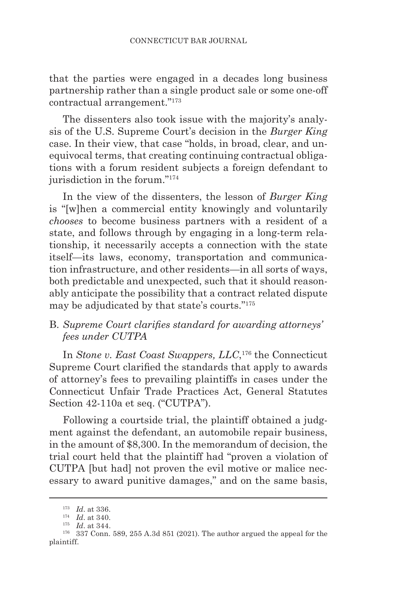that the parties were engaged in a decades long business partnership rather than a single product sale or some one-off contractual arrangement."173

The dissenters also took issue with the majority's analysis of the U.S. Supreme Court's decision in the *Burger King*  case. In their view, that case "holds, in broad, clear, and unequivocal terms, that creating continuing contractual obligations with a forum resident subjects a foreign defendant to jurisdiction in the forum."<sup>174</sup>

In the view of the dissenters, the lesson of *Burger King*  is "[w]hen a commercial entity knowingly and voluntarily *chooses* to become business partners with a resident of a state, and follows through by engaging in a long-term relationship, it necessarily accepts a connection with the state itself—its laws, economy, transportation and communication infrastructure, and other residents—in all sorts of ways, both predictable and unexpected, such that it should reasonably anticipate the possibility that a contract related dispute may be adjudicated by that state's courts."<sup>175</sup>

### B. *Supreme Court clarifies standard for awarding attorneys' fees under CUTPA*

In *Stone v. East Coast Swappers, LLC*, 176 the Connecticut Supreme Court clarified the standards that apply to awards of attorney's fees to prevailing plaintiffs in cases under the Connecticut Unfair Trade Practices Act, General Statutes Section 42-110a et seq. ("CUTPA").

Following a courtside trial, the plaintiff obtained a judgment against the defendant, an automobile repair business, in the amount of \$8,300. In the memorandum of decision, the trial court held that the plaintiff had "proven a violation of CUTPA [but had] not proven the evil motive or malice necessary to award punitive damages," and on the same basis,

<sup>173</sup> *Id*. at 336.

<sup>174</sup> *Id*. at 340.

<sup>175</sup> *Id*. at 344.

<sup>176</sup> 337 Conn. 589, 255 A.3d 851 (2021). The author argued the appeal for the plaintiff.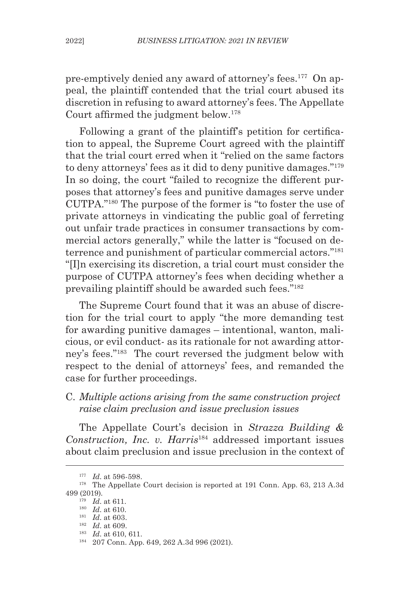pre-emptively denied any award of attorney's fees.177 On appeal, the plaintiff contended that the trial court abused its discretion in refusing to award attorney's fees. The Appellate Court affirmed the judgment below.<sup>178</sup>

Following a grant of the plaintiff's petition for certification to appeal, the Supreme Court agreed with the plaintiff that the trial court erred when it "relied on the same factors to deny attorneys' fees as it did to deny punitive damages."179 In so doing, the court "failed to recognize the different purposes that attorney's fees and punitive damages serve under CUTPA."180 The purpose of the former is "to foster the use of private attorneys in vindicating the public goal of ferreting out unfair trade practices in consumer transactions by commercial actors generally," while the latter is "focused on deterrence and punishment of particular commercial actors."181 "[I]n exercising its discretion, a trial court must consider the purpose of CUTPA attorney's fees when deciding whether a prevailing plaintiff should be awarded such fees."182

The Supreme Court found that it was an abuse of discretion for the trial court to apply "the more demanding test for awarding punitive damages – intentional, wanton, malicious, or evil conduct- as its rationale for not awarding attorney's fees."183 The court reversed the judgment below with respect to the denial of attorneys' fees, and remanded the case for further proceedings.

# C. *Multiple actions arising from the same construction project raise claim preclusion and issue preclusion issues*

The Appellate Court's decision in *Strazza Building & Construction, Inc. v. Harris*184 addressed important issues about claim preclusion and issue preclusion in the context of

<sup>177</sup> *Id*. at 596-598.

<sup>&</sup>lt;sup>178</sup> The Appellate Court decision is reported at 191 Conn. App. 63, 213 A.3d 499 (2019).

<sup>179</sup> *Id*. at 611.

<sup>180</sup> *Id*. at 610.

<sup>181</sup> *Id*. at 603. <sup>182</sup> *Id*. at 609.

<sup>183</sup> *Id*. at 610, 611.

<sup>184</sup> 207 Conn. App. 649, 262 A.3d 996 (2021).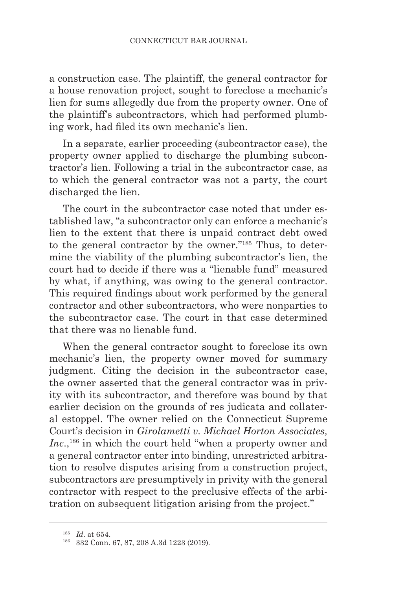a construction case. The plaintiff, the general contractor for a house renovation project, sought to foreclose a mechanic's lien for sums allegedly due from the property owner. One of the plaintiff's subcontractors, which had performed plumbing work, had filed its own mechanic's lien.

In a separate, earlier proceeding (subcontractor case), the property owner applied to discharge the plumbing subcontractor's lien. Following a trial in the subcontractor case, as to which the general contractor was not a party, the court discharged the lien.

The court in the subcontractor case noted that under established law, "a subcontractor only can enforce a mechanic's lien to the extent that there is unpaid contract debt owed to the general contractor by the owner."185 Thus, to determine the viability of the plumbing subcontractor's lien, the court had to decide if there was a "lienable fund" measured by what, if anything, was owing to the general contractor. This required findings about work performed by the general contractor and other subcontractors, who were nonparties to the subcontractor case. The court in that case determined that there was no lienable fund.

When the general contractor sought to foreclose its own mechanic's lien, the property owner moved for summary judgment. Citing the decision in the subcontractor case, the owner asserted that the general contractor was in privity with its subcontractor, and therefore was bound by that earlier decision on the grounds of res judicata and collateral estoppel. The owner relied on the Connecticut Supreme Court's decision in *Girolametti v. Michael Horton Associates, Inc.*,<sup>186</sup> in which the court held "when a property owner and a general contractor enter into binding, unrestricted arbitration to resolve disputes arising from a construction project, subcontractors are presumptively in privity with the general contractor with respect to the preclusive effects of the arbitration on subsequent litigation arising from the project."

<sup>185</sup> *Id*. at 654.

<sup>186</sup> 332 Conn. 67, 87, 208 A.3d 1223 (2019).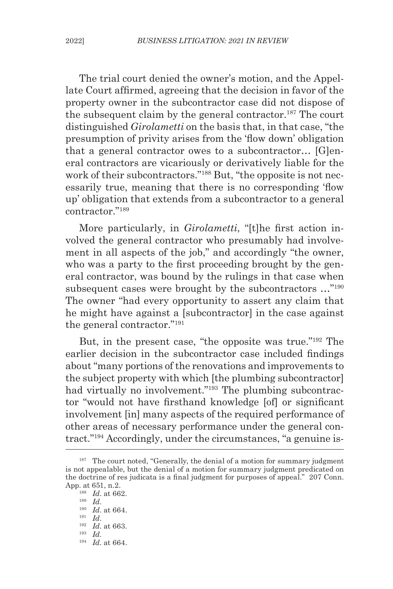The trial court denied the owner's motion, and the Appellate Court affirmed, agreeing that the decision in favor of the property owner in the subcontractor case did not dispose of the subsequent claim by the general contractor.<sup>187</sup> The court distinguished *Girolametti* on the basis that, in that case, "the presumption of privity arises from the 'flow down' obligation that a general contractor owes to a subcontractor… [G]eneral contractors are vicariously or derivatively liable for the work of their subcontractors."<sup>188</sup> But, "the opposite is not necessarily true, meaning that there is no corresponding 'flow up' obligation that extends from a subcontractor to a general contractor<sup>"189</sup>

More particularly, in *Girolametti*, "[t]he first action involved the general contractor who presumably had involvement in all aspects of the job," and accordingly "the owner, who was a party to the first proceeding brought by the general contractor, was bound by the rulings in that case when subsequent cases were brought by the subcontractors ..."<sup>190</sup> The owner "had every opportunity to assert any claim that he might have against a [subcontractor] in the case against the general contractor."191

But, in the present case, "the opposite was true."192 The earlier decision in the subcontractor case included findings about "many portions of the renovations and improvements to the subject property with which [the plumbing subcontractor] had virtually no involvement."<sup>193</sup> The plumbing subcontractor "would not have firsthand knowledge [of] or significant involvement [in] many aspects of the required performance of other areas of necessary performance under the general contract."194 Accordingly, under the circumstances, "a genuine is-

<sup>194</sup> *Id.* at 664.

<sup>&</sup>lt;sup>187</sup> The court noted, "Generally, the denial of a motion for summary judgment is not appealable, but the denial of a motion for summary judgment predicated on the doctrine of res judicata is a final judgment for purposes of appeal." 207 Conn. App. at 651, n.2.

 $\frac{188}{189}$   $\frac{Id.}{Id.}$  at 662.

<sup>189</sup> *Id*. 190 *Id*. at 664.

<sup>191</sup> *Id*. 192 *Id*. at 663.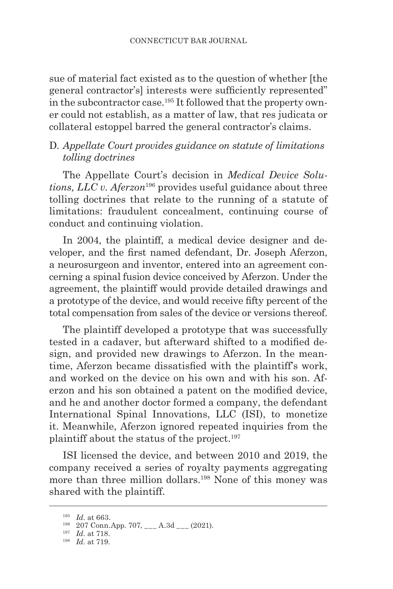sue of material fact existed as to the question of whether [the general contractor's] interests were sufficiently represented" in the subcontractor case.195 It followed that the property owner could not establish, as a matter of law, that res judicata or collateral estoppel barred the general contractor's claims.

### D. *Appellate Court provides guidance on statute of limitations tolling doctrines*

The Appellate Court's decision in *Medical Device Solutions, LLC v. Aferzon*196 provides useful guidance about three tolling doctrines that relate to the running of a statute of limitations: fraudulent concealment, continuing course of conduct and continuing violation.

In 2004, the plaintiff, a medical device designer and developer, and the first named defendant, Dr. Joseph Aferzon, a neurosurgeon and inventor, entered into an agreement concerning a spinal fusion device conceived by Aferzon. Under the agreement, the plaintiff would provide detailed drawings and a prototype of the device, and would receive fifty percent of the total compensation from sales of the device or versions thereof.

The plaintiff developed a prototype that was successfully tested in a cadaver, but afterward shifted to a modified design, and provided new drawings to Aferzon. In the meantime, Aferzon became dissatisfied with the plaintiff's work, and worked on the device on his own and with his son. Aferzon and his son obtained a patent on the modified device, and he and another doctor formed a company, the defendant International Spinal Innovations, LLC (ISI), to monetize it. Meanwhile, Aferzon ignored repeated inquiries from the plaintiff about the status of the project.<sup>197</sup>

ISI licensed the device, and between 2010 and 2019, the company received a series of royalty payments aggregating more than three million dollars.<sup>198</sup> None of this money was shared with the plaintiff.

<sup>195</sup> *Id*. at 663.

 $196$  207 Conn.App. 707, \_\_\_ A.3d \_\_\_ (2021).

<sup>197</sup> *Id*. at 718.

<sup>198</sup> *Id*. at 719.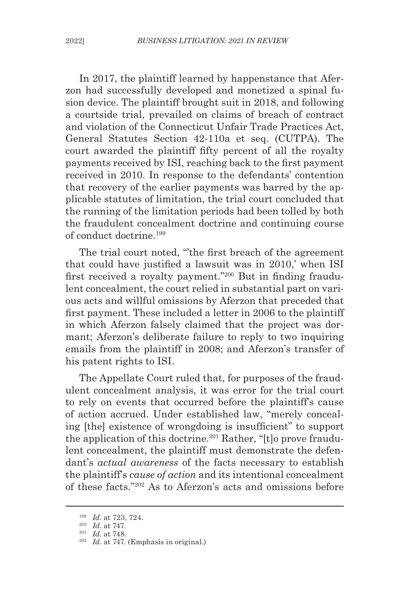In 2017, the plaintiff learned by happenstance that Aferzon had successfully developed and monetized a spinal fusion device. The plaintiff brought suit in 2018, and following a courtside trial, prevailed on claims of breach of contract and violation of the Connecticut Unfair Trade Practices Act, General Statutes Section 42-110a et seq. (CUTPA). The court awarded the plaintiff fifty percent of all the royalty payments received by ISI, reaching back to the first payment received in 2010. In response to the defendants' contention that recovery of the earlier payments was barred by the applicable statutes of limitation, the trial court concluded that the running of the limitation periods had been tolled by both the fraudulent concealment doctrine and continuing course of conduct doctrine.199

The trial court noted, "the first breach of the agreement that could have justified a lawsuit was in 2010,' when ISI first received a royalty payment."200 But in finding fraudulent concealment, the court relied in substantial part on various acts and willful omissions by Aferzon that preceded that first payment. These included a letter in 2006 to the plaintiff in which Aferzon falsely claimed that the project was dormant; Aferzon's deliberate failure to reply to two inquiring emails from the plaintiff in 2008; and Aferzon's transfer of his patent rights to ISI.

The Appellate Court ruled that, for purposes of the fraudulent concealment analysis, it was error for the trial court to rely on events that occurred before the plaintiff's cause of action accrued. Under established law, "merely concealing [the] existence of wrongdoing is insufficient" to support the application of this doctrine.<sup>201</sup> Rather, "[t]o prove fraudulent concealment, the plaintiff must demonstrate the defendant's *actual awareness* of the facts necessary to establish the plaintiff's *cause of action* and its intentional concealment of these facts."202 As to Aferzon's acts and omissions before

<sup>199</sup> *Id*. at 723, 724.

<sup>200</sup> *Id*. at 747.

<sup>201</sup> *Id*. at 748.

<sup>202</sup> *Id*. at 747. (Emphasis in original.)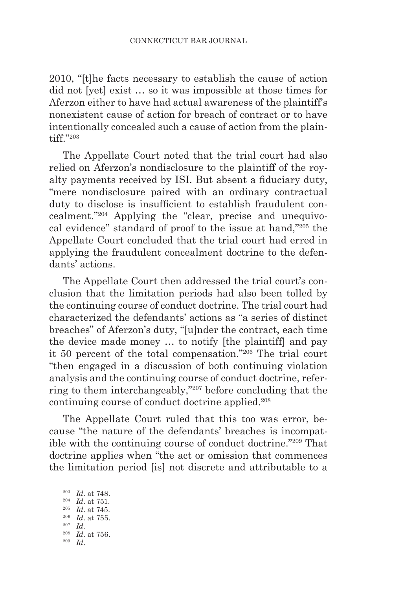2010, "[t]he facts necessary to establish the cause of action did not [yet] exist … so it was impossible at those times for Aferzon either to have had actual awareness of the plaintiff's nonexistent cause of action for breach of contract or to have intentionally concealed such a cause of action from the plaintiff."203

The Appellate Court noted that the trial court had also relied on Aferzon's nondisclosure to the plaintiff of the royalty payments received by ISI. But absent a fiduciary duty, "mere nondisclosure paired with an ordinary contractual duty to disclose is insufficient to establish fraudulent concealment."204 Applying the "clear, precise and unequivocal evidence" standard of proof to the issue at hand,"205 the Appellate Court concluded that the trial court had erred in applying the fraudulent concealment doctrine to the defendants' actions.

The Appellate Court then addressed the trial court's conclusion that the limitation periods had also been tolled by the continuing course of conduct doctrine. The trial court had characterized the defendants' actions as "a series of distinct breaches" of Aferzon's duty, "[u]nder the contract, each time the device made money … to notify [the plaintiff] and pay it 50 percent of the total compensation."206 The trial court "then engaged in a discussion of both continuing violation analysis and the continuing course of conduct doctrine, referring to them interchangeably,"207 before concluding that the continuing course of conduct doctrine applied.208

The Appellate Court ruled that this too was error, because "the nature of the defendants' breaches is incompatible with the continuing course of conduct doctrine."209 That doctrine applies when "the act or omission that commences the limitation period [is] not discrete and attributable to a

<sup>206</sup> *Id*. at 755.

<sup>203</sup> *Id*. at 748.

<sup>204</sup> *Id*. at 751.

<sup>205</sup> *Id*. at 745.

<sup>207</sup> *Id*. 208 *Id*. at 756.

<sup>209</sup> *Id*.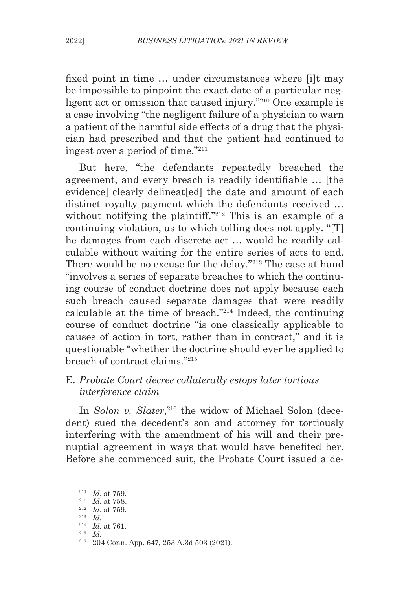fixed point in time … under circumstances where [i]t may be impossible to pinpoint the exact date of a particular negligent act or omission that caused injury."210 One example is a case involving "the negligent failure of a physician to warn a patient of the harmful side effects of a drug that the physician had prescribed and that the patient had continued to ingest over a period of time."211

But here, "the defendants repeatedly breached the agreement, and every breach is readily identifiable … [the evidence] clearly delineat[ed] the date and amount of each distinct royalty payment which the defendants received … without notifying the plaintiff."<sup>212</sup> This is an example of a continuing violation, as to which tolling does not apply. "[T] he damages from each discrete act … would be readily calculable without waiting for the entire series of acts to end. There would be no excuse for the delay."213 The case at hand "involves a series of separate breaches to which the continuing course of conduct doctrine does not apply because each such breach caused separate damages that were readily calculable at the time of breach."214 Indeed, the continuing course of conduct doctrine "is one classically applicable to causes of action in tort, rather than in contract," and it is questionable "whether the doctrine should ever be applied to breach of contract claims."215

#### E*. Probate Court decree collaterally estops later tortious interference claim*

In *Solon v. Slater*,<sup>216</sup> the widow of Michael Solon (decedent) sued the decedent's son and attorney for tortiously interfering with the amendment of his will and their prenuptial agreement in ways that would have benefited her. Before she commenced suit, the Probate Court issued a de-

<sup>210</sup> *Id*. at 759.

<sup>211</sup> *Id*. at 758.

 $\frac{^{212}}{^{213}}$   $\frac{Id.}{Id.}$  at 759.

<sup>213</sup> *Id*. 214 *Id*. at 761.

<sup>&</sup>lt;sup>216</sup> 204 Conn. App. 647, 253 A.3d 503 (2021).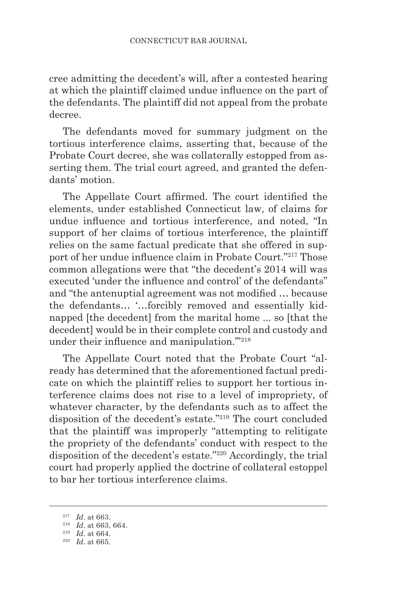cree admitting the decedent's will, after a contested hearing at which the plaintiff claimed undue influence on the part of the defendants. The plaintiff did not appeal from the probate decree.

The defendants moved for summary judgment on the tortious interference claims, asserting that, because of the Probate Court decree, she was collaterally estopped from asserting them. The trial court agreed, and granted the defendants' motion.

The Appellate Court affirmed. The court identified the elements, under established Connecticut law, of claims for undue influence and tortious interference, and noted, "In support of her claims of tortious interference, the plaintiff relies on the same factual predicate that she offered in support of her undue influence claim in Probate Court."217 Those common allegations were that "the decedent's 2014 will was executed 'under the influence and control' of the defendants" and "the antenuptial agreement was not modified … because the defendants… '…forcibly removed and essentially kidnapped [the decedent] from the marital home ... so [that the decedent] would be in their complete control and custody and under their influence and manipulation.'"<sup>218</sup>

The Appellate Court noted that the Probate Court "already has determined that the aforementioned factual predicate on which the plaintiff relies to support her tortious interference claims does not rise to a level of impropriety, of whatever character, by the defendants such as to affect the disposition of the decedent's estate."219 The court concluded that the plaintiff was improperly "attempting to relitigate the propriety of the defendants' conduct with respect to the disposition of the decedent's estate."220 Accordingly, the trial court had properly applied the doctrine of collateral estoppel to bar her tortious interference claims.

<sup>217</sup> *Id*. at 663.

<sup>218</sup> *Id*. at 663, 664.

<sup>219</sup> *Id*. at 664.

<sup>220</sup> *Id*. at 665.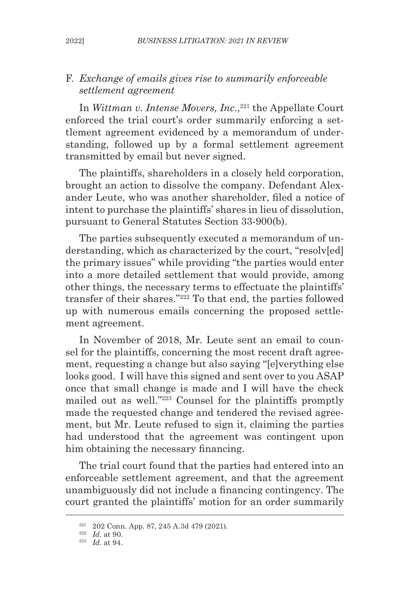### F. *Exchange of emails gives rise to summarily enforceable settlement agreement*

In *Wittman v. Intense Movers, Inc.*,<sup>221</sup> the Appellate Court enforced the trial court's order summarily enforcing a settlement agreement evidenced by a memorandum of understanding, followed up by a formal settlement agreement transmitted by email but never signed.

The plaintiffs, shareholders in a closely held corporation, brought an action to dissolve the company. Defendant Alexander Leute, who was another shareholder, filed a notice of intent to purchase the plaintiffs' shares in lieu of dissolution, pursuant to General Statutes Section 33-900(b).

The parties subsequently executed a memorandum of understanding, which as characterized by the court, "resolv[ed] the primary issues" while providing "the parties would enter into a more detailed settlement that would provide, among other things, the necessary terms to effectuate the plaintiffs' transfer of their shares."222 To that end, the parties followed up with numerous emails concerning the proposed settlement agreement.

In November of 2018, Mr. Leute sent an email to counsel for the plaintiffs, concerning the most recent draft agreement, requesting a change but also saying "[e]verything else looks good. I will have this signed and sent over to you ASAP once that small change is made and I will have the check mailed out as well."223 Counsel for the plaintiffs promptly made the requested change and tendered the revised agreement, but Mr. Leute refused to sign it, claiming the parties had understood that the agreement was contingent upon him obtaining the necessary financing.

The trial court found that the parties had entered into an enforceable settlement agreement, and that the agreement unambiguously did not include a financing contingency. The court granted the plaintiffs' motion for an order summarily

<sup>221</sup> 202 Conn. App. 87, 245 A.3d 479 (2021).

 $^{222}$  *Id.* at 90.

<sup>223</sup> *Id*. at 94.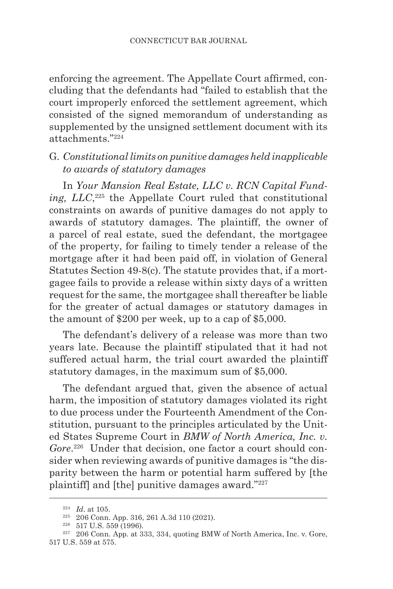enforcing the agreement. The Appellate Court affirmed, concluding that the defendants had "failed to establish that the court improperly enforced the settlement agreement, which consisted of the signed memorandum of understanding as supplemented by the unsigned settlement document with its attachments."224

# G. *Constitutional limits on punitive damages held inapplicable to awards of statutory damages*

In *Your Mansion Real Estate, LLC v. RCN Capital Funding, LLC*, 225 the Appellate Court ruled that constitutional constraints on awards of punitive damages do not apply to awards of statutory damages. The plaintiff, the owner of a parcel of real estate, sued the defendant, the mortgagee of the property, for failing to timely tender a release of the mortgage after it had been paid off, in violation of General Statutes Section 49-8(c). The statute provides that, if a mortgagee fails to provide a release within sixty days of a written request for the same, the mortgagee shall thereafter be liable for the greater of actual damages or statutory damages in the amount of \$200 per week, up to a cap of \$5,000.

The defendant's delivery of a release was more than two years late. Because the plaintiff stipulated that it had not suffered actual harm, the trial court awarded the plaintiff statutory damages, in the maximum sum of \$5,000.

The defendant argued that, given the absence of actual harm, the imposition of statutory damages violated its right to due process under the Fourteenth Amendment of the Constitution, pursuant to the principles articulated by the United States Supreme Court in *BMW of North America, Inc. v.*  Gore.<sup>226</sup> Under that decision, one factor a court should consider when reviewing awards of punitive damages is "the disparity between the harm or potential harm suffered by [the plaintiff] and [the] punitive damages award."<sup>227</sup>

<sup>224</sup> *Id*. at 105.

 $225$  206 Conn. App. 316, 261 A.3d 110 (2021).

<sup>226</sup> 517 U.S. 559 (1996).

<sup>&</sup>lt;sup>227</sup> 206 Conn. App. at 333, 334, quoting BMW of North America, Inc. v. Gore, 517 U.S. 559 at 575.